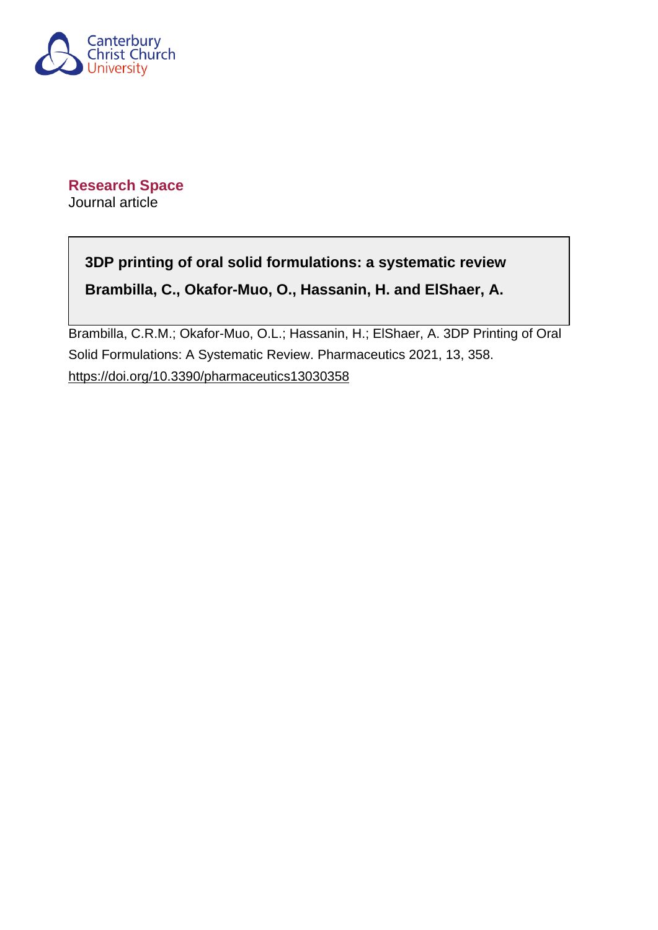

**Research Space** Journal article

# **3DP printing of oral solid formulations: a systematic review Brambilla, C., Okafor-Muo, O., Hassanin, H. and ElShaer, A.**

Brambilla, C.R.M.; Okafor-Muo, O.L.; Hassanin, H.; ElShaer, A. 3DP Printing of Oral Solid Formulations: A Systematic Review. Pharmaceutics 2021, 13, 358. <https://doi.org/10.3390/pharmaceutics13030358>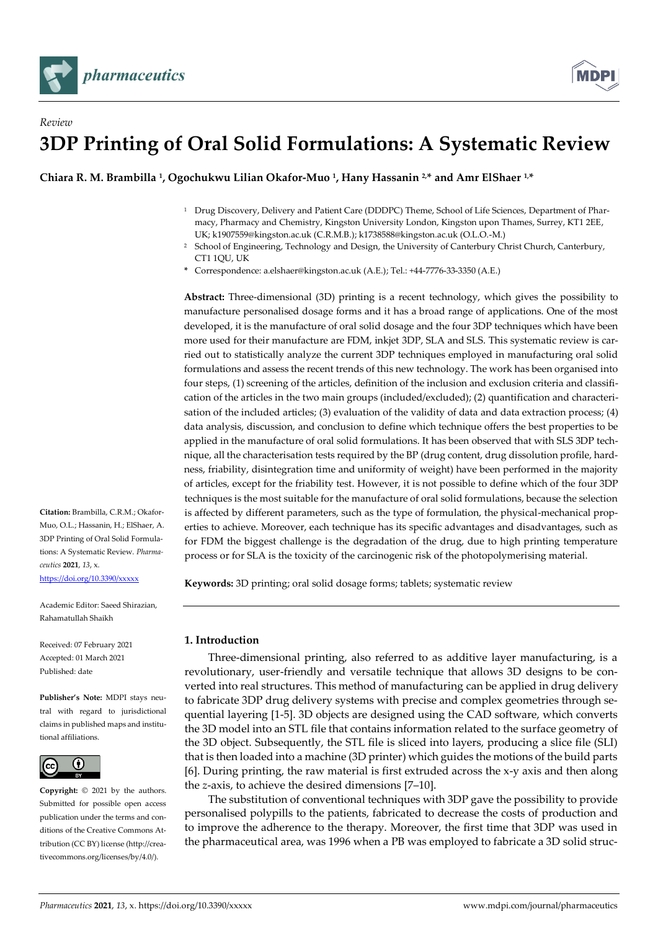



# *Review* **3DP Printing of Oral Solid Formulations: A Systematic Review**

**Chiara R. M. Brambilla <sup>1</sup> , Ogochukwu Lilian Okafor-Muo <sup>1</sup> , Hany Hassanin 2,\* and Amr ElShaer 1,\***

- <sup>1</sup> Drug Discovery, Delivery and Patient Care (DDDPC) Theme, School of Life Sciences, Department of Pharmacy, Pharmacy and Chemistry, Kingston University London, Kingston upon Thames, Surrey, KT1 2EE, UK; k1907559@kingston.ac.uk (C.R.M.B.); k1738588@kingston.ac.uk (O.L.O.-M.)
- <sup>2</sup> School of Engineering, Technology and Design, the University of Canterbury Christ Church, Canterbury, CT1 1QU, UK
- **\*** Correspondence: a.elshaer@kingston.ac.uk (A.E.); Tel.: +44-7776-33-3350 (A.E.)

**Abstract:** Three-dimensional (3D) printing is a recent technology, which gives the possibility to manufacture personalised dosage forms and it has a broad range of applications. One of the most developed, it is the manufacture of oral solid dosage and the four 3DP techniques which have been more used for their manufacture are FDM, inkjet 3DP, SLA and SLS. This systematic review is carried out to statistically analyze the current 3DP techniques employed in manufacturing oral solid formulations and assess the recent trends of this new technology. The work has been organised into four steps, (1) screening of the articles, definition of the inclusion and exclusion criteria and classification of the articles in the two main groups (included/excluded); (2) quantification and characterisation of the included articles; (3) evaluation of the validity of data and data extraction process; (4) data analysis, discussion, and conclusion to define which technique offers the best properties to be applied in the manufacture of oral solid formulations. It has been observed that with SLS 3DP technique, all the characterisation tests required by the BP (drug content, drug dissolution profile, hardness, friability, disintegration time and uniformity of weight) have been performed in the majority of articles, except for the friability test. However, it is not possible to define which of the four 3DP techniques is the most suitable for the manufacture of oral solid formulations, because the selection is affected by different parameters, such as the type of formulation, the physical-mechanical properties to achieve. Moreover, each technique has its specific advantages and disadvantages, such as for FDM the biggest challenge is the degradation of the drug, due to high printing temperature process or for SLA is the toxicity of the carcinogenic risk of the photopolymerising material.

**Keywords:** 3D printing; oral solid dosage forms; tablets; systematic review

# **1. Introduction**

Three-dimensional printing, also referred to as additive layer manufacturing, is a revolutionary, user-friendly and versatile technique that allows 3D designs to be converted into real structures. This method of manufacturing can be applied in drug delivery to fabricate 3DP drug delivery systems with precise and complex geometries through sequential layering [1-5]. 3D objects are designed using the CAD software, which converts the 3D model into an STL file that contains information related to the surface geometry of the 3D object. Subsequently, the STL file is sliced into layers, producing a slice file (SLI) that is then loaded into a machine (3D printer) which guides the motions of the build parts [6]. During printing, the raw material is first extruded across the x-y axis and then along the *z*-axis, to achieve the desired dimensions [7–10].

The substitution of conventional techniques with 3DP gave the possibility to provide personalised polypills to the patients, fabricated to decrease the costs of production and to improve the adherence to the therapy. Moreover, the first time that 3DP was used in the pharmaceutical area, was 1996 when a PB was employed to fabricate a 3D solid struc-

**Citation:** Brambilla, C.R.M.; Okafor-Muo, O.L.; Hassanin, H.; ElShaer, A. 3DP Printing of Oral Solid Formulations: A Systematic Review. *Pharmaceutics* **2021**, *13*, x. <https://doi.org/10.3390/xxxxx>

Academic Editor: Saeed Shirazian, Rahamatullah Shaikh

Received: 07 February 2021 Accepted: 01 March 2021 Published: date

**Publisher's Note:** MDPI stays neutral with regard to jurisdictional claims in published maps and institutional affiliations.



**Copyright:** © 2021 by the authors. Submitted for possible open access publication under the terms and conditions of the Creative Commons Attribution (CC BY) license (http://creativecommons.org/licenses/by/4.0/).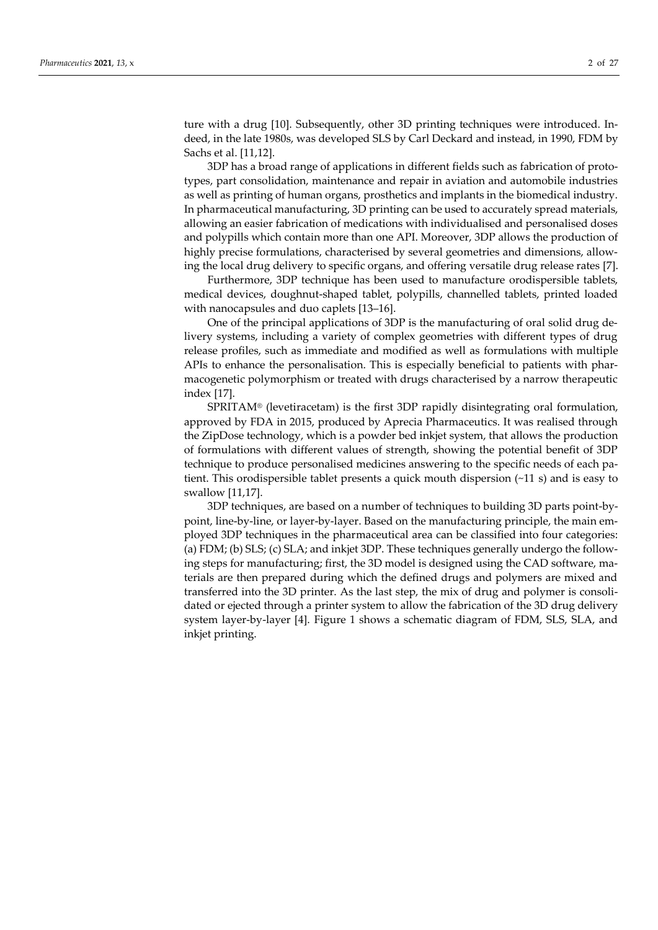ture with a drug [10]. Subsequently, other 3D printing techniques were introduced. Indeed, in the late 1980s, was developed SLS by Carl Deckard and instead, in 1990, FDM by Sachs et al. [11,12].

3DP has a broad range of applications in different fields such as fabrication of prototypes, part consolidation, maintenance and repair in aviation and automobile industries as well as printing of human organs, prosthetics and implants in the biomedical industry. In pharmaceutical manufacturing, 3D printing can be used to accurately spread materials, allowing an easier fabrication of medications with individualised and personalised doses and polypills which contain more than one API. Moreover, 3DP allows the production of highly precise formulations, characterised by several geometries and dimensions, allowing the local drug delivery to specific organs, and offering versatile drug release rates [7].

Furthermore, 3DP technique has been used to manufacture orodispersible tablets, medical devices, doughnut-shaped tablet, polypills, channelled tablets, printed loaded with nanocapsules and duo caplets [13–16].

One of the principal applications of 3DP is the manufacturing of oral solid drug delivery systems, including a variety of complex geometries with different types of drug release profiles, such as immediate and modified as well as formulations with multiple APIs to enhance the personalisation. This is especially beneficial to patients with pharmacogenetic polymorphism or treated with drugs characterised by a narrow therapeutic index [17].

SPRITAM® (levetiracetam) is the first 3DP rapidly disintegrating oral formulation, approved by FDA in 2015, produced by Aprecia Pharmaceutics. It was realised through the ZipDose technology, which is a powder bed inkjet system, that allows the production of formulations with different values of strength, showing the potential benefit of 3DP technique to produce personalised medicines answering to the specific needs of each patient. This orodispersible tablet presents a quick mouth dispersion (~11 s) and is easy to swallow [11,17].

3DP techniques, are based on a number of techniques to building 3D parts point-bypoint, line-by-line, or layer-by-layer. Based on the manufacturing principle, the main employed 3DP techniques in the pharmaceutical area can be classified into four categories: (a) FDM; (b) SLS; (c) SLA; and inkjet 3DP. These techniques generally undergo the following steps for manufacturing; first, the 3D model is designed using the CAD software, materials are then prepared during which the defined drugs and polymers are mixed and transferred into the 3D printer. As the last step, the mix of drug and polymer is consolidated or ejected through a printer system to allow the fabrication of the 3D drug delivery system layer-by-layer [4]. Figure 1 shows a schematic diagram of FDM, SLS, SLA, and inkjet printing.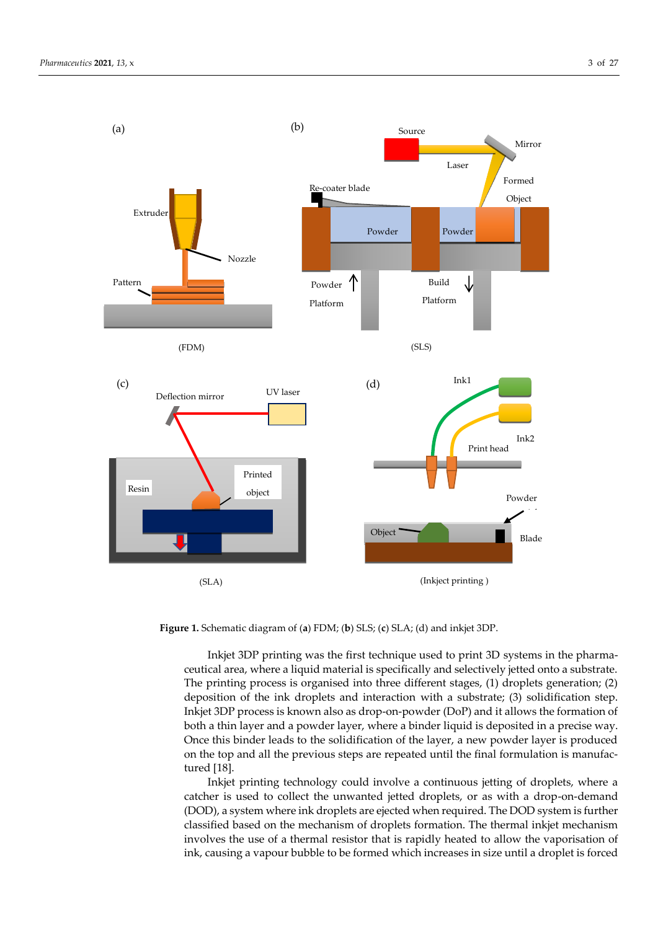

**Figure 1.** Schematic diagram of (**a**) FDM; (**b**) SLS; (**c**) SLA; (d) and inkjet 3DP.

Inkjet 3DP printing was the first technique used to print 3D systems in the pharmaceutical area, where a liquid material is specifically and selectively jetted onto a substrate. The printing process is organised into three different stages, (1) droplets generation; (2) deposition of the ink droplets and interaction with a substrate; (3) solidification step. Inkjet 3DP process is known also as drop-on-powder (DoP) and it allows the formation of both a thin layer and a powder layer, where a binder liquid is deposited in a precise way. Once this binder leads to the solidification of the layer, a new powder layer is produced on the top and all the previous steps are repeated until the final formulation is manufactured [18].

Inkjet printing technology could involve a continuous jetting of droplets, where a catcher is used to collect the unwanted jetted droplets, or as with a drop-on-demand (DOD), a system where ink droplets are ejected when required. The DOD system is further classified based on the mechanism of droplets formation. The thermal inkjet mechanism involves the use of a thermal resistor that is rapidly heated to allow the vaporisation of ink, causing a vapour bubble to be formed which increases in size until a droplet is forced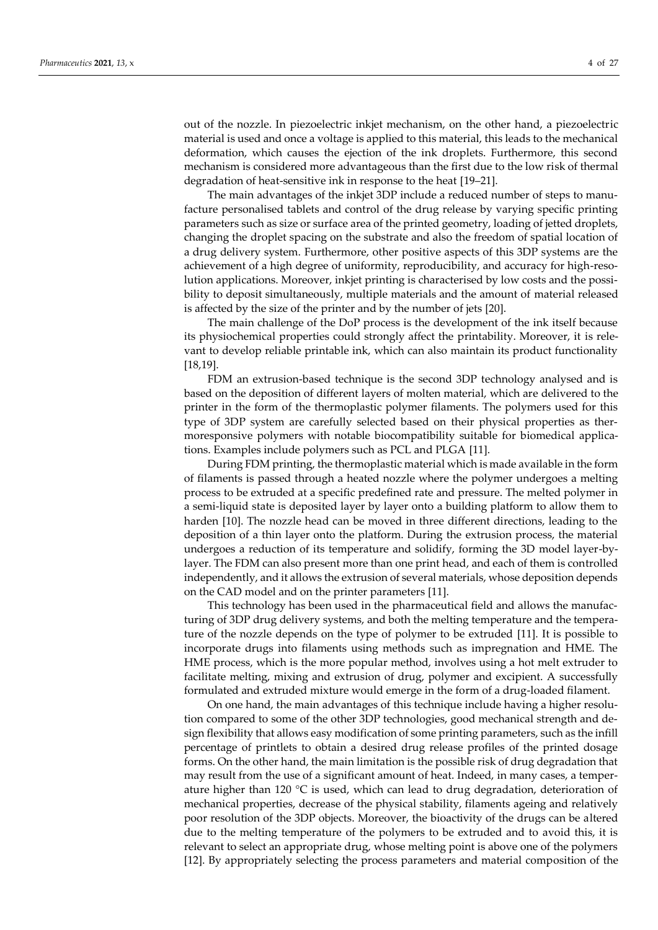out of the nozzle. In piezoelectric inkjet mechanism, on the other hand, a piezoelectric material is used and once a voltage is applied to this material, this leads to the mechanical deformation, which causes the ejection of the ink droplets. Furthermore, this second mechanism is considered more advantageous than the first due to the low risk of thermal degradation of heat-sensitive ink in response to the heat [19–21].

The main advantages of the inkjet 3DP include a reduced number of steps to manufacture personalised tablets and control of the drug release by varying specific printing parameters such as size or surface area of the printed geometry, loading of jetted droplets, changing the droplet spacing on the substrate and also the freedom of spatial location of a drug delivery system. Furthermore, other positive aspects of this 3DP systems are the achievement of a high degree of uniformity, reproducibility, and accuracy for high-resolution applications. Moreover, inkjet printing is characterised by low costs and the possibility to deposit simultaneously, multiple materials and the amount of material released is affected by the size of the printer and by the number of jets [20].

The main challenge of the DoP process is the development of the ink itself because its physiochemical properties could strongly affect the printability. Moreover, it is relevant to develop reliable printable ink, which can also maintain its product functionality [18,19].

FDM an extrusion-based technique is the second 3DP technology analysed and is based on the deposition of different layers of molten material, which are delivered to the printer in the form of the thermoplastic polymer filaments. The polymers used for this type of 3DP system are carefully selected based on their physical properties as thermoresponsive polymers with notable biocompatibility suitable for biomedical applications. Examples include polymers such as PCL and PLGA [11].

During FDM printing, the thermoplastic material which is made available in the form of filaments is passed through a heated nozzle where the polymer undergoes a melting process to be extruded at a specific predefined rate and pressure. The melted polymer in a semi-liquid state is deposited layer by layer onto a building platform to allow them to harden [10]. The nozzle head can be moved in three different directions, leading to the deposition of a thin layer onto the platform. During the extrusion process, the material undergoes a reduction of its temperature and solidify, forming the 3D model layer-bylayer. The FDM can also present more than one print head, and each of them is controlled independently, and it allows the extrusion of several materials, whose deposition depends on the CAD model and on the printer parameters [11].

This technology has been used in the pharmaceutical field and allows the manufacturing of 3DP drug delivery systems, and both the melting temperature and the temperature of the nozzle depends on the type of polymer to be extruded [11]. It is possible to incorporate drugs into filaments using methods such as impregnation and HME. The HME process, which is the more popular method, involves using a hot melt extruder to facilitate melting, mixing and extrusion of drug, polymer and excipient. A successfully formulated and extruded mixture would emerge in the form of a drug-loaded filament.

On one hand, the main advantages of this technique include having a higher resolution compared to some of the other 3DP technologies, good mechanical strength and design flexibility that allows easy modification of some printing parameters, such as the infill percentage of printlets to obtain a desired drug release profiles of the printed dosage forms. On the other hand, the main limitation is the possible risk of drug degradation that may result from the use of a significant amount of heat. Indeed, in many cases, a temperature higher than 120  $^{\circ}$ C is used, which can lead to drug degradation, deterioration of mechanical properties, decrease of the physical stability, filaments ageing and relatively poor resolution of the 3DP objects. Moreover, the bioactivity of the drugs can be altered due to the melting temperature of the polymers to be extruded and to avoid this, it is relevant to select an appropriate drug, whose melting point is above one of the polymers [12]. By appropriately selecting the process parameters and material composition of the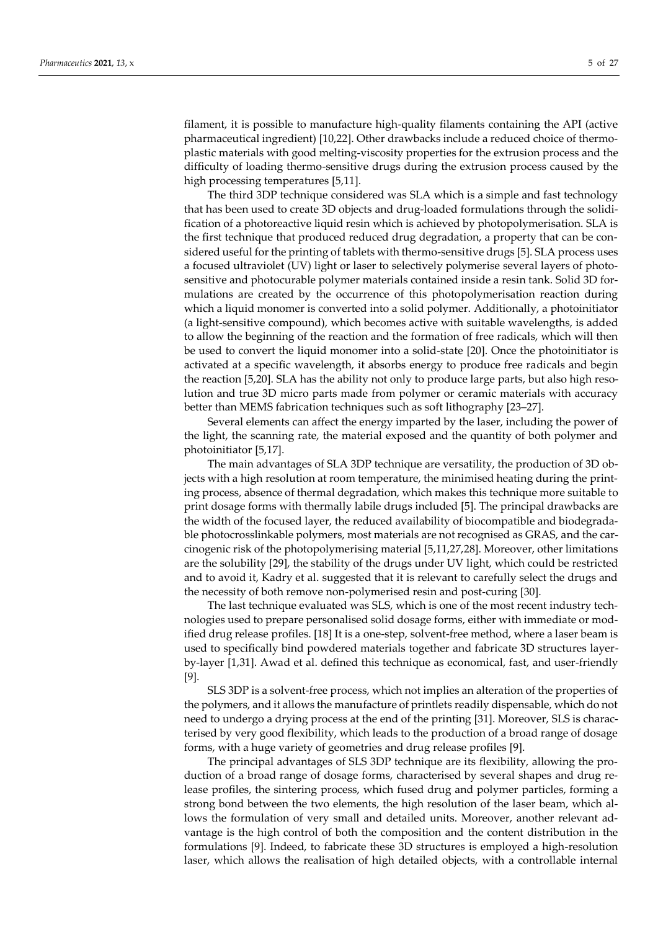filament, it is possible to manufacture high-quality filaments containing the API (active pharmaceutical ingredient) [10,22]. Other drawbacks include a reduced choice of thermoplastic materials with good melting-viscosity properties for the extrusion process and the difficulty of loading thermo-sensitive drugs during the extrusion process caused by the high processing temperatures [5,11].

The third 3DP technique considered was SLA which is a simple and fast technology that has been used to create 3D objects and drug-loaded formulations through the solidification of a photoreactive liquid resin which is achieved by photopolymerisation. SLA is the first technique that produced reduced drug degradation, a property that can be considered useful for the printing of tablets with thermo-sensitive drugs [5]. SLA process uses a focused ultraviolet (UV) light or laser to selectively polymerise several layers of photosensitive and photocurable polymer materials contained inside a resin tank. Solid 3D formulations are created by the occurrence of this photopolymerisation reaction during which a liquid monomer is converted into a solid polymer. Additionally, a photoinitiator (a light-sensitive compound), which becomes active with suitable wavelengths, is added to allow the beginning of the reaction and the formation of free radicals, which will then be used to convert the liquid monomer into a solid-state [20]. Once the photoinitiator is activated at a specific wavelength, it absorbs energy to produce free radicals and begin the reaction [5,20]. SLA has the ability not only to produce large parts, but also high resolution and true 3D micro parts made from polymer or ceramic materials with accuracy better than MEMS fabrication techniques such as soft lithography [23–27].

Several elements can affect the energy imparted by the laser, including the power of the light, the scanning rate, the material exposed and the quantity of both polymer and photoinitiator [5,17].

The main advantages of SLA 3DP technique are versatility, the production of 3D objects with a high resolution at room temperature, the minimised heating during the printing process, absence of thermal degradation, which makes this technique more suitable to print dosage forms with thermally labile drugs included [5]. The principal drawbacks are the width of the focused layer, the reduced availability of biocompatible and biodegradable photocrosslinkable polymers, most materials are not recognised as GRAS, and the carcinogenic risk of the photopolymerising material [5,11,27,28]. Moreover, other limitations are the solubility [29], the stability of the drugs under UV light, which could be restricted and to avoid it, Kadry et al. suggested that it is relevant to carefully select the drugs and the necessity of both remove non-polymerised resin and post-curing [30].

The last technique evaluated was SLS, which is one of the most recent industry technologies used to prepare personalised solid dosage forms, either with immediate or modified drug release profiles. [18] It is a one-step, solvent-free method, where a laser beam is used to specifically bind powdered materials together and fabricate 3D structures layerby-layer [1,31]. Awad et al. defined this technique as economical, fast, and user-friendly [9].

SLS 3DP is a solvent-free process, which not implies an alteration of the properties of the polymers, and it allows the manufacture of printlets readily dispensable, which do not need to undergo a drying process at the end of the printing [31]. Moreover, SLS is characterised by very good flexibility, which leads to the production of a broad range of dosage forms, with a huge variety of geometries and drug release profiles [9].

The principal advantages of SLS 3DP technique are its flexibility, allowing the production of a broad range of dosage forms, characterised by several shapes and drug release profiles, the sintering process, which fused drug and polymer particles, forming a strong bond between the two elements, the high resolution of the laser beam, which allows the formulation of very small and detailed units. Moreover, another relevant advantage is the high control of both the composition and the content distribution in the formulations [9]. Indeed, to fabricate these 3D structures is employed a high-resolution laser, which allows the realisation of high detailed objects, with a controllable internal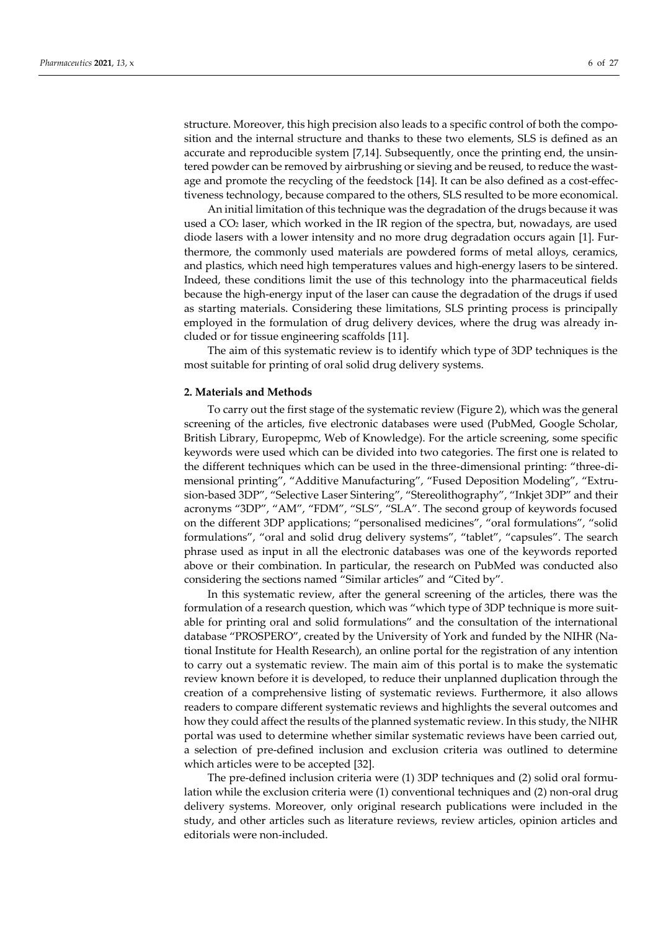structure. Moreover, this high precision also leads to a specific control of both the composition and the internal structure and thanks to these two elements, SLS is defined as an accurate and reproducible system [7,14]. Subsequently, once the printing end, the unsintered powder can be removed by airbrushing or sieving and be reused, to reduce the wastage and promote the recycling of the feedstock [14]. It can be also defined as a cost-effectiveness technology, because compared to the others, SLS resulted to be more economical.

An initial limitation of this technique was the degradation of the drugs because it was used a  $CO<sub>2</sub>$  laser, which worked in the IR region of the spectra, but, nowadays, are used diode lasers with a lower intensity and no more drug degradation occurs again [1]. Furthermore, the commonly used materials are powdered forms of metal alloys, ceramics, and plastics, which need high temperatures values and high-energy lasers to be sintered. Indeed, these conditions limit the use of this technology into the pharmaceutical fields because the high-energy input of the laser can cause the degradation of the drugs if used as starting materials. Considering these limitations, SLS printing process is principally employed in the formulation of drug delivery devices, where the drug was already included or for tissue engineering scaffolds [11].

The aim of this systematic review is to identify which type of 3DP techniques is the most suitable for printing of oral solid drug delivery systems.

#### **2. Materials and Methods**

To carry out the first stage of the systematic review (Figure 2), which was the general screening of the articles, five electronic databases were used (PubMed, Google Scholar, British Library, Europepmc, Web of Knowledge). For the article screening, some specific keywords were used which can be divided into two categories. The first one is related to the different techniques which can be used in the three-dimensional printing: "three-dimensional printing", "Additive Manufacturing", "Fused Deposition Modeling", "Extrusion-based 3DP", "Selective Laser Sintering", "Stereolithography", "Inkjet 3DP" and their acronyms "3DP", "AM", "FDM", "SLS", "SLA". The second group of keywords focused on the different 3DP applications; "personalised medicines", "oral formulations", "solid formulations", "oral and solid drug delivery systems", "tablet", "capsules". The search phrase used as input in all the electronic databases was one of the keywords reported above or their combination. In particular, the research on PubMed was conducted also considering the sections named "Similar articles" and "Cited by".

In this systematic review, after the general screening of the articles, there was the formulation of a research question, which was "which type of 3DP technique is more suitable for printing oral and solid formulations" and the consultation of the international database "PROSPERO", created by the University of York and funded by the NIHR (National Institute for Health Research), an online portal for the registration of any intention to carry out a systematic review. The main aim of this portal is to make the systematic review known before it is developed, to reduce their unplanned duplication through the creation of a comprehensive listing of systematic reviews. Furthermore, it also allows readers to compare different systematic reviews and highlights the several outcomes and how they could affect the results of the planned systematic review. In this study, the NIHR portal was used to determine whether similar systematic reviews have been carried out, a selection of pre-defined inclusion and exclusion criteria was outlined to determine which articles were to be accepted [32].

The pre-defined inclusion criteria were (1) 3DP techniques and (2) solid oral formulation while the exclusion criteria were (1) conventional techniques and (2) non-oral drug delivery systems. Moreover, only original research publications were included in the study, and other articles such as literature reviews, review articles, opinion articles and editorials were non-included.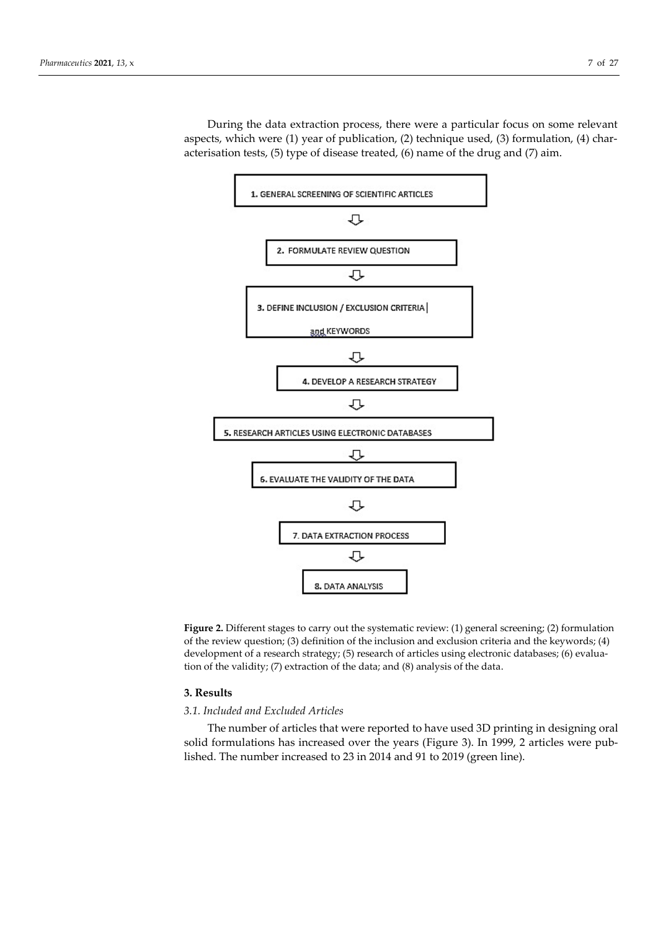During the data extraction process, there were a particular focus on some relevant aspects, which were (1) year of publication, (2) technique used, (3) formulation, (4) characterisation tests, (5) type of disease treated, (6) name of the drug and (7) aim.



**Figure 2.** Different stages to carry out the systematic review: (1) general screening; (2) formulation of the review question; (3) definition of the inclusion and exclusion criteria and the keywords; (4) development of a research strategy; (5) research of articles using electronic databases; (6) evaluation of the validity; (7) extraction of the data; and (8) analysis of the data.

#### **3. Results**

#### *3.1. Included and Excluded Articles*

The number of articles that were reported to have used 3D printing in designing oral solid formulations has increased over the years (Figure 3). In 1999, 2 articles were published. The number increased to 23 in 2014 and 91 to 2019 (green line).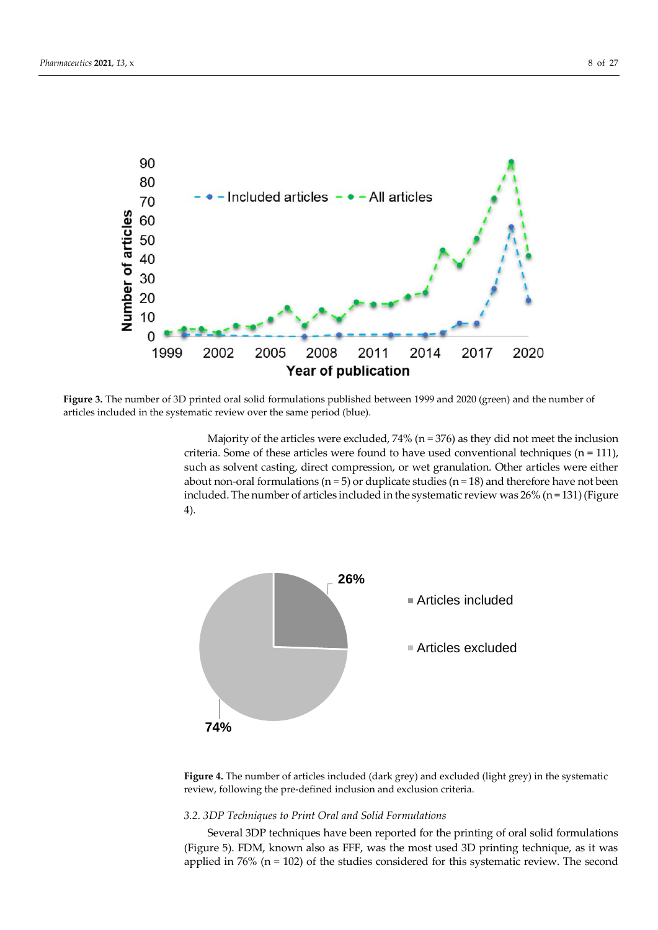

**Figure 3.** The number of 3D printed oral solid formulations published between 1999 and 2020 (green) and the number of articles included in the systematic review over the same period (blue).

Majority of the articles were excluded,  $74\%$  (n = 376) as they did not meet the inclusion criteria. Some of these articles were found to have used conventional techniques ( $n = 111$ ), such as solvent casting, direct compression, or wet granulation. Other articles were either about non-oral formulations ( $n = 5$ ) or duplicate studies ( $n = 18$ ) and therefore have not been included. The number of articles included in the systematic review was  $26\%$  (n = 131) (Figure 4).



**Figure 4.** The number of articles included (dark grey) and excluded (light grey) in the systematic review, following the pre-defined inclusion and exclusion criteria.

## *3.2. 3DP Techniques to Print Oral and Solid Formulations*

Several 3DP techniques have been reported for the printing of oral solid formulations (Figure 5). FDM, known also as FFF, was the most used 3D printing technique, as it was applied in  $76\%$  (n = 102) of the studies considered for this systematic review. The second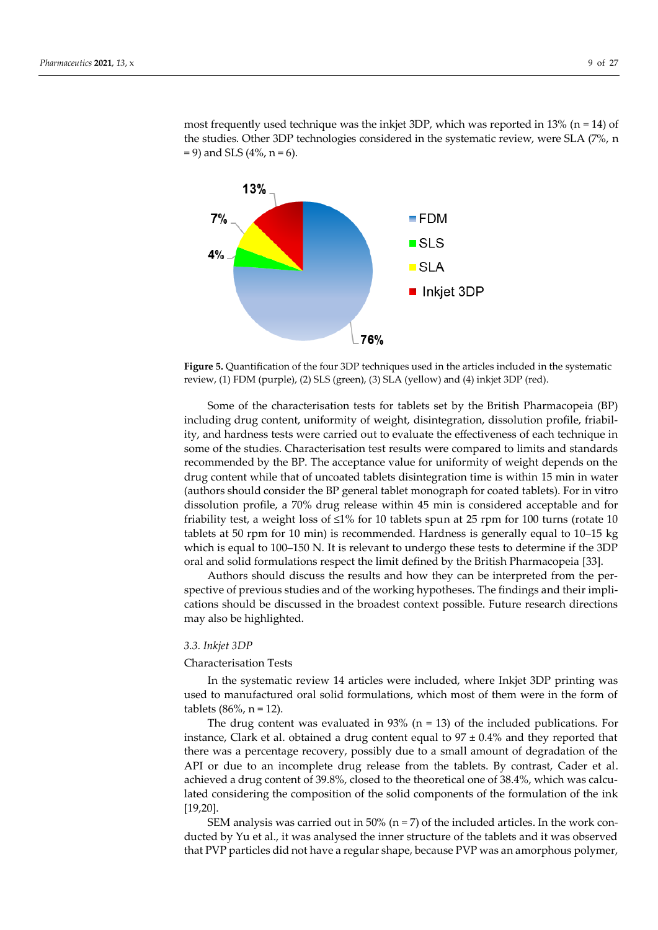



**Figure 5.** Quantification of the four 3DP techniques used in the articles included in the systematic review, (1) FDM (purple), (2) SLS (green), (3) SLA (yellow) and (4) inkjet 3DP (red).

Some of the characterisation tests for tablets set by the British Pharmacopeia (BP) including drug content, uniformity of weight, disintegration, dissolution profile, friability, and hardness tests were carried out to evaluate the effectiveness of each technique in some of the studies. Characterisation test results were compared to limits and standards recommended by the BP. The acceptance value for uniformity of weight depends on the drug content while that of uncoated tablets disintegration time is within 15 min in water (authors should consider the BP general tablet monograph for coated tablets). For in vitro dissolution profile, a 70% drug release within 45 min is considered acceptable and for friability test, a weight loss of  $\leq 1\%$  for 10 tablets spun at 25 rpm for 100 turns (rotate 10 tablets at 50 rpm for 10 min) is recommended. Hardness is generally equal to 10–15 kg which is equal to 100–150 N. It is relevant to undergo these tests to determine if the 3DP oral and solid formulations respect the limit defined by the British Pharmacopeia [33].

Authors should discuss the results and how they can be interpreted from the perspective of previous studies and of the working hypotheses. The findings and their implications should be discussed in the broadest context possible. Future research directions may also be highlighted.

#### *3.3. Inkjet 3DP*

#### Characterisation Tests

In the systematic review 14 articles were included, where Inkjet 3DP printing was used to manufactured oral solid formulations, which most of them were in the form of tablets  $(86\% , n = 12)$ .

The drug content was evaluated in  $93\%$  (n = 13) of the included publications. For instance, Clark et al. obtained a drug content equal to  $97 \pm 0.4\%$  and they reported that there was a percentage recovery, possibly due to a small amount of degradation of the API or due to an incomplete drug release from the tablets. By contrast, Cader et al. achieved a drug content of 39.8%, closed to the theoretical one of 38.4%, which was calculated considering the composition of the solid components of the formulation of the ink [19,20].

SEM analysis was carried out in 50% ( $n = 7$ ) of the included articles. In the work conducted by Yu et al., it was analysed the inner structure of the tablets and it was observed that PVP particles did not have a regular shape, because PVP was an amorphous polymer,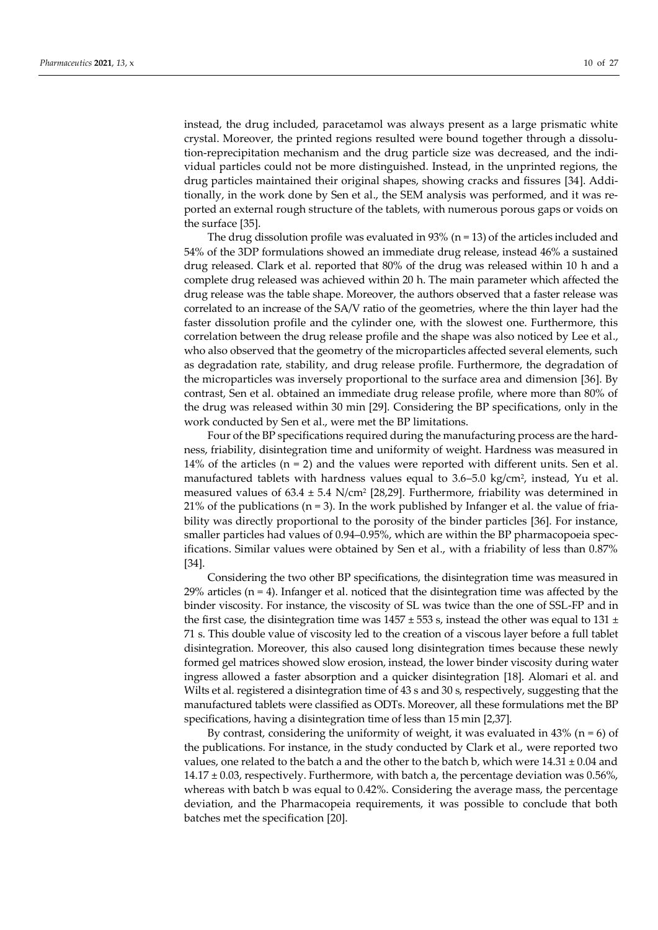instead, the drug included, paracetamol was always present as a large prismatic white crystal. Moreover, the printed regions resulted were bound together through a dissolution-reprecipitation mechanism and the drug particle size was decreased, and the individual particles could not be more distinguished. Instead, in the unprinted regions, the drug particles maintained their original shapes, showing cracks and fissures [34]. Additionally, in the work done by Sen et al., the SEM analysis was performed, and it was reported an external rough structure of the tablets, with numerous porous gaps or voids on the surface [35].

The drug dissolution profile was evaluated in 93% ( $n = 13$ ) of the articles included and 54% of the 3DP formulations showed an immediate drug release, instead 46% a sustained drug released. Clark et al. reported that 80% of the drug was released within 10 h and a complete drug released was achieved within 20 h. The main parameter which affected the drug release was the table shape. Moreover, the authors observed that a faster release was correlated to an increase of the SA/V ratio of the geometries, where the thin layer had the faster dissolution profile and the cylinder one, with the slowest one. Furthermore, this correlation between the drug release profile and the shape was also noticed by Lee et al., who also observed that the geometry of the microparticles affected several elements, such as degradation rate, stability, and drug release profile. Furthermore, the degradation of the microparticles was inversely proportional to the surface area and dimension [36]. By contrast, Sen et al. obtained an immediate drug release profile, where more than 80% of the drug was released within 30 min [29]. Considering the BP specifications, only in the work conducted by Sen et al., were met the BP limitations.

Four of the BP specifications required during the manufacturing process are the hardness, friability, disintegration time and uniformity of weight. Hardness was measured in 14% of the articles  $(n = 2)$  and the values were reported with different units. Sen et al. manufactured tablets with hardness values equal to 3.6–5.0 kg/cm<sup>2</sup> , instead, Yu et al. measured values of  $63.4 \pm 5.4$  N/cm<sup>2</sup> [28,29]. Furthermore, friability was determined in 21% of the publications ( $n = 3$ ). In the work published by Infanger et al. the value of friability was directly proportional to the porosity of the binder particles [36]. For instance, smaller particles had values of 0.94–0.95%, which are within the BP pharmacopoeia specifications. Similar values were obtained by Sen et al., with a friability of less than 0.87% [34].

Considering the two other BP specifications, the disintegration time was measured in 29% articles  $(n = 4)$ . Infanger et al. noticed that the disintegration time was affected by the binder viscosity. For instance, the viscosity of SL was twice than the one of SSL-FP and in the first case, the disintegration time was  $1457 \pm 553$  s, instead the other was equal to 131  $\pm$ 71 s. This double value of viscosity led to the creation of a viscous layer before a full tablet disintegration. Moreover, this also caused long disintegration times because these newly formed gel matrices showed slow erosion, instead, the lower binder viscosity during water ingress allowed a faster absorption and a quicker disintegration [18]. Alomari et al. and Wilts et al. registered a disintegration time of 43 s and 30 s, respectively, suggesting that the manufactured tablets were classified as ODTs. Moreover, all these formulations met the BP specifications, having a disintegration time of less than 15 min [2,37].

By contrast, considering the uniformity of weight, it was evaluated in  $43\%$  (n = 6) of the publications. For instance, in the study conducted by Clark et al., were reported two values, one related to the batch a and the other to the batch b, which were  $14.31 \pm 0.04$  and  $14.17 \pm 0.03$ , respectively. Furthermore, with batch a, the percentage deviation was 0.56%, whereas with batch b was equal to 0.42%. Considering the average mass, the percentage deviation, and the Pharmacopeia requirements, it was possible to conclude that both batches met the specification [20].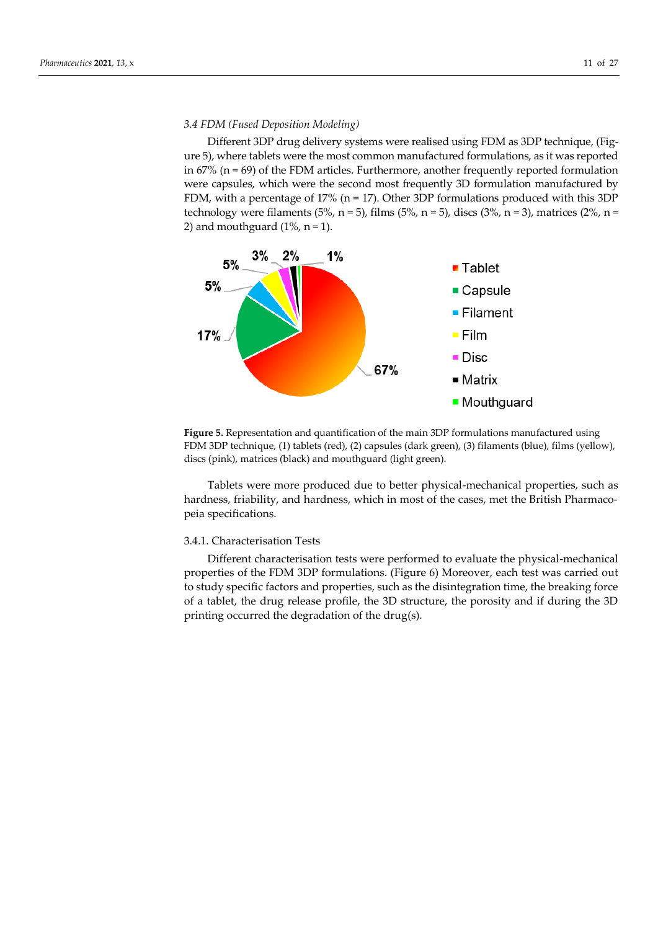#### *3.4 FDM (Fused Deposition Modeling)*

Different 3DP drug delivery systems were realised using FDM as 3DP technique, (Figure 5), where tablets were the most common manufactured formulations, as it was reported in  $67\%$  ( $n = 69$ ) of the FDM articles. Furthermore, another frequently reported formulation were capsules, which were the second most frequently 3D formulation manufactured by FDM, with a percentage of 17% (n = 17). Other 3DP formulations produced with this 3DP technology were filaments (5%, n = 5), films (5%, n = 5), discs (3%, n = 3), matrices (2%, n = 2) and mouthguard  $(1\% , n = 1)$ .



**Figure 5.** Representation and quantification of the main 3DP formulations manufactured using FDM 3DP technique, (1) tablets (red), (2) capsules (dark green), (3) filaments (blue), films (yellow), discs (pink), matrices (black) and mouthguard (light green).

Tablets were more produced due to better physical-mechanical properties, such as hardness, friability, and hardness, which in most of the cases, met the British Pharmacopeia specifications.

#### 3.4.1. Characterisation Tests

Different characterisation tests were performed to evaluate the physical-mechanical properties of the FDM 3DP formulations. (Figure 6) Moreover, each test was carried out to study specific factors and properties, such as the disintegration time, the breaking force of a tablet, the drug release profile, the 3D structure, the porosity and if during the 3D printing occurred the degradation of the drug(s).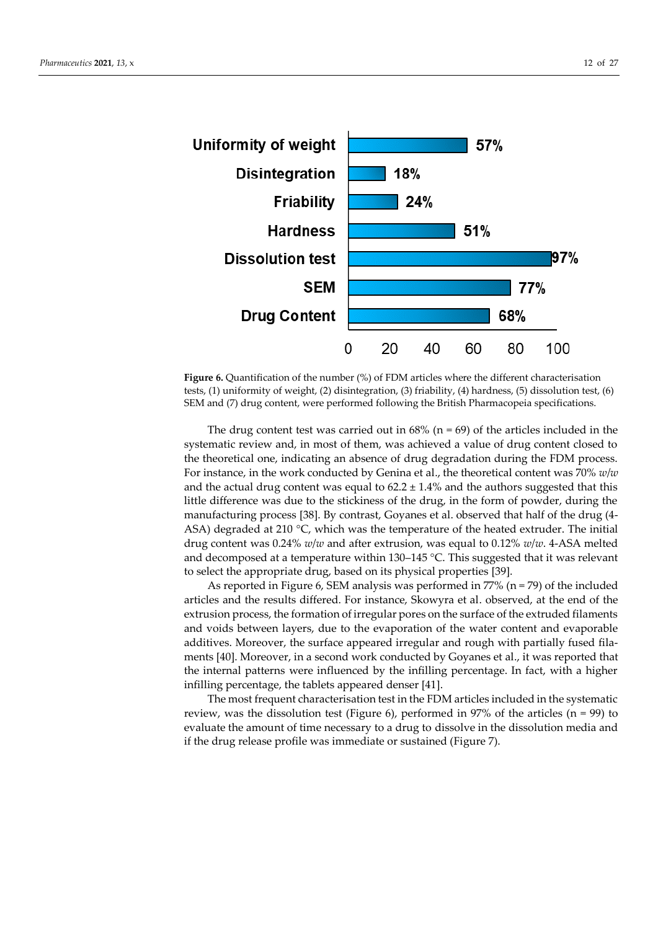

**Figure 6.** Quantification of the number (%) of FDM articles where the different characterisation tests, (1) uniformity of weight, (2) disintegration, (3) friability, (4) hardness, (5) dissolution test, (6) SEM and (7) drug content, were performed following the British Pharmacopeia specifications.

The drug content test was carried out in  $68\%$  (n = 69) of the articles included in the systematic review and, in most of them, was achieved a value of drug content closed to the theoretical one, indicating an absence of drug degradation during the FDM process. For instance, in the work conducted by Genina et al., the theoretical content was 70% *w*/*w* and the actual drug content was equal to  $62.2 \pm 1.4\%$  and the authors suggested that this little difference was due to the stickiness of the drug, in the form of powder, during the manufacturing process [38]. By contrast, Goyanes et al. observed that half of the drug (4- ASA) degraded at 210  $\degree$ C, which was the temperature of the heated extruder. The initial drug content was 0.24% *w*/*w* and after extrusion, was equal to 0.12% *w*/*w*. 4-ASA melted and decomposed at a temperature within 130–145 °C. This suggested that it was relevant to select the appropriate drug, based on its physical properties [39].

As reported in Figure 6, SEM analysis was performed in  $77\%$  (n = 79) of the included articles and the results differed. For instance, Skowyra et al. observed, at the end of the extrusion process, the formation of irregular pores on the surface of the extruded filaments and voids between layers, due to the evaporation of the water content and evaporable additives. Moreover, the surface appeared irregular and rough with partially fused filaments [40]. Moreover, in a second work conducted by Goyanes et al., it was reported that the internal patterns were influenced by the infilling percentage. In fact, with a higher infilling percentage, the tablets appeared denser [41].

The most frequent characterisation test in the FDM articles included in the systematic review, was the dissolution test (Figure 6), performed in 97% of the articles  $(n = 99)$  to evaluate the amount of time necessary to a drug to dissolve in the dissolution media and if the drug release profile was immediate or sustained (Figure 7).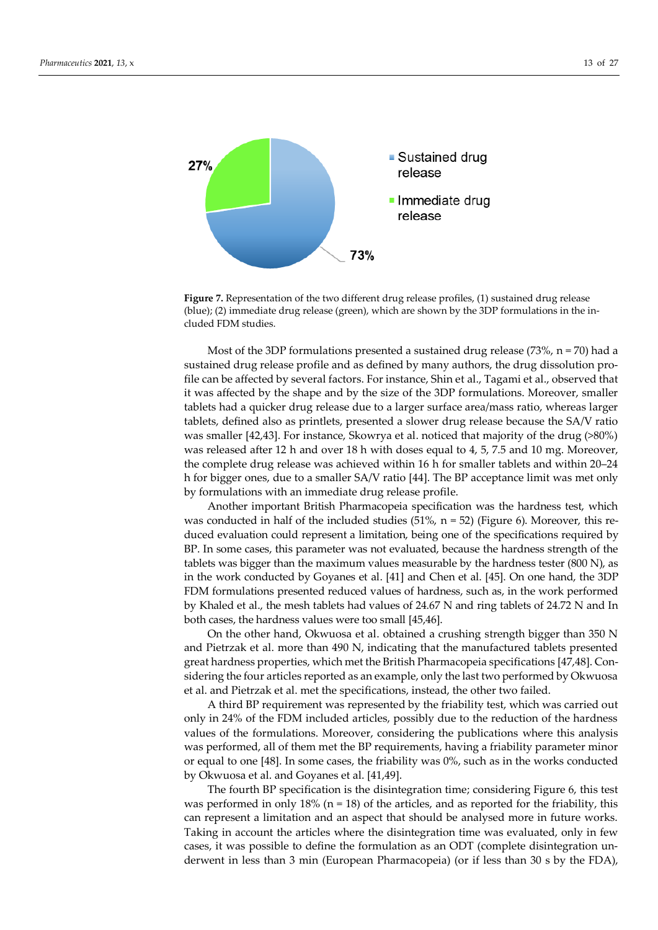

Figure 7. Representation of the two different drug release profiles, (1) sustained drug release (blue); (2) immediate drug release (green), which are shown by the 3DP formulations in the included FDM studies.

Most of the 3DP formulations presented a sustained drug release (73%,  $n = 70$ ) had a sustained drug release profile and as defined by many authors, the drug dissolution profile can be affected by several factors. For instance, Shin et al., Tagami et al., observed that it was affected by the shape and by the size of the 3DP formulations. Moreover, smaller tablets had a quicker drug release due to a larger surface area/mass ratio, whereas larger tablets, defined also as printlets, presented a slower drug release because the SA/V ratio was smaller [42,43]. For instance, Skowrya et al. noticed that majority of the drug (>80%) was released after 12 h and over 18 h with doses equal to 4, 5, 7.5 and 10 mg. Moreover, the complete drug release was achieved within 16 h for smaller tablets and within 20–24 h for bigger ones, due to a smaller SA/V ratio [44]. The BP acceptance limit was met only by formulations with an immediate drug release profile.

Another important British Pharmacopeia specification was the hardness test, which was conducted in half of the included studies (51%,  $n = 52$ ) (Figure 6). Moreover, this reduced evaluation could represent a limitation, being one of the specifications required by BP. In some cases, this parameter was not evaluated, because the hardness strength of the tablets was bigger than the maximum values measurable by the hardness tester (800 N), as in the work conducted by Goyanes et al. [41] and Chen et al. [45]. On one hand, the 3DP FDM formulations presented reduced values of hardness, such as, in the work performed by Khaled et al., the mesh tablets had values of 24.67 N and ring tablets of 24.72 N and In both cases, the hardness values were too small [45,46].

On the other hand, Okwuosa et al. obtained a crushing strength bigger than 350 N and Pietrzak et al. more than 490 N, indicating that the manufactured tablets presented great hardness properties, which met the British Pharmacopeia specifications [47,48]. Considering the four articles reported as an example, only the last two performed by Okwuosa et al. and Pietrzak et al. met the specifications, instead, the other two failed.

A third BP requirement was represented by the friability test, which was carried out only in 24% of the FDM included articles, possibly due to the reduction of the hardness values of the formulations. Moreover, considering the publications where this analysis was performed, all of them met the BP requirements, having a friability parameter minor or equal to one [48]. In some cases, the friability was 0%, such as in the works conducted by Okwuosa et al. and Goyanes et al. [41,49].

The fourth BP specification is the disintegration time; considering Figure 6, this test was performed in only 18% ( $n = 18$ ) of the articles, and as reported for the friability, this can represent a limitation and an aspect that should be analysed more in future works. Taking in account the articles where the disintegration time was evaluated, only in few cases, it was possible to define the formulation as an ODT (complete disintegration underwent in less than 3 min (European Pharmacopeia) (or if less than 30 s by the FDA),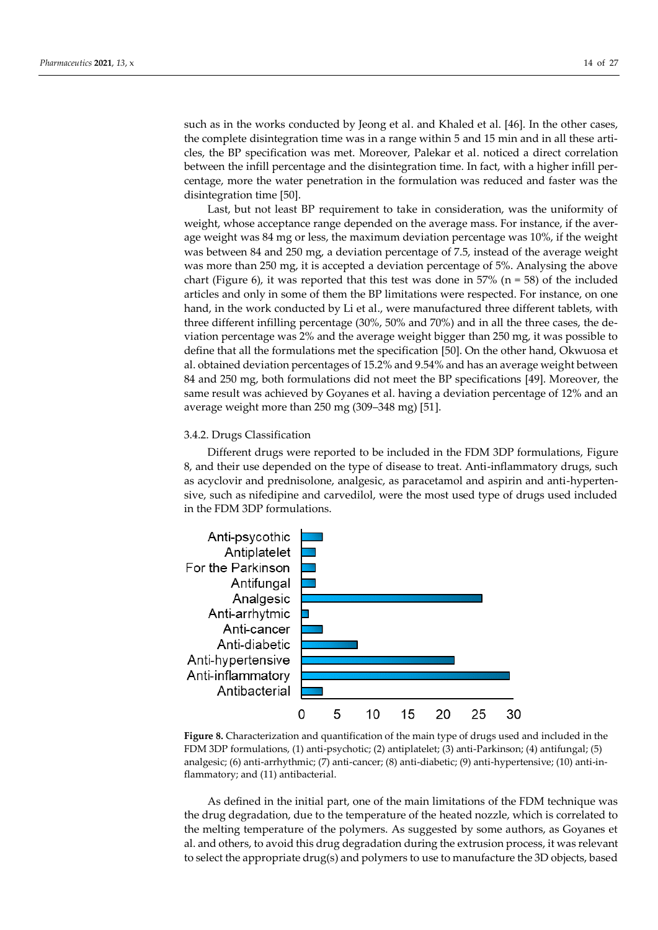such as in the works conducted by Jeong et al. and Khaled et al. [46]. In the other cases, the complete disintegration time was in a range within 5 and 15 min and in all these articles, the BP specification was met. Moreover, Palekar et al. noticed a direct correlation between the infill percentage and the disintegration time. In fact, with a higher infill percentage, more the water penetration in the formulation was reduced and faster was the disintegration time [50].

Last, but not least BP requirement to take in consideration, was the uniformity of weight, whose acceptance range depended on the average mass. For instance, if the average weight was 84 mg or less, the maximum deviation percentage was 10%, if the weight was between 84 and 250 mg, a deviation percentage of 7.5, instead of the average weight was more than 250 mg, it is accepted a deviation percentage of 5%. Analysing the above chart (Figure 6), it was reported that this test was done in  $57\%$  (n = 58) of the included articles and only in some of them the BP limitations were respected. For instance, on one hand, in the work conducted by Li et al., were manufactured three different tablets, with three different infilling percentage (30%, 50% and 70%) and in all the three cases, the deviation percentage was 2% and the average weight bigger than 250 mg, it was possible to define that all the formulations met the specification [50]. On the other hand, Okwuosa et al. obtained deviation percentages of 15.2% and 9.54% and has an average weight between 84 and 250 mg, both formulations did not meet the BP specifications [49]. Moreover, the same result was achieved by Goyanes et al. having a deviation percentage of 12% and an average weight more than 250 mg (309–348 mg) [51].

#### 3.4.2. Drugs Classification

Different drugs were reported to be included in the FDM 3DP formulations, Figure 8, and their use depended on the type of disease to treat. Anti-inflammatory drugs, such as acyclovir and prednisolone, analgesic, as paracetamol and aspirin and anti-hypertensive, such as nifedipine and carvedilol, were the most used type of drugs used included in the FDM 3DP formulations.



**Figure 8.** Characterization and quantification of the main type of drugs used and included in the FDM 3DP formulations, (1) anti-psychotic; (2) antiplatelet; (3) anti-Parkinson; (4) antifungal; (5) analgesic; (6) anti-arrhythmic; (7) anti-cancer; (8) anti-diabetic; (9) anti-hypertensive; (10) anti-inflammatory; and (11) antibacterial.

As defined in the initial part, one of the main limitations of the FDM technique was the drug degradation, due to the temperature of the heated nozzle, which is correlated to the melting temperature of the polymers. As suggested by some authors, as Goyanes et al. and others, to avoid this drug degradation during the extrusion process, it was relevant to select the appropriate drug(s) and polymers to use to manufacture the 3D objects, based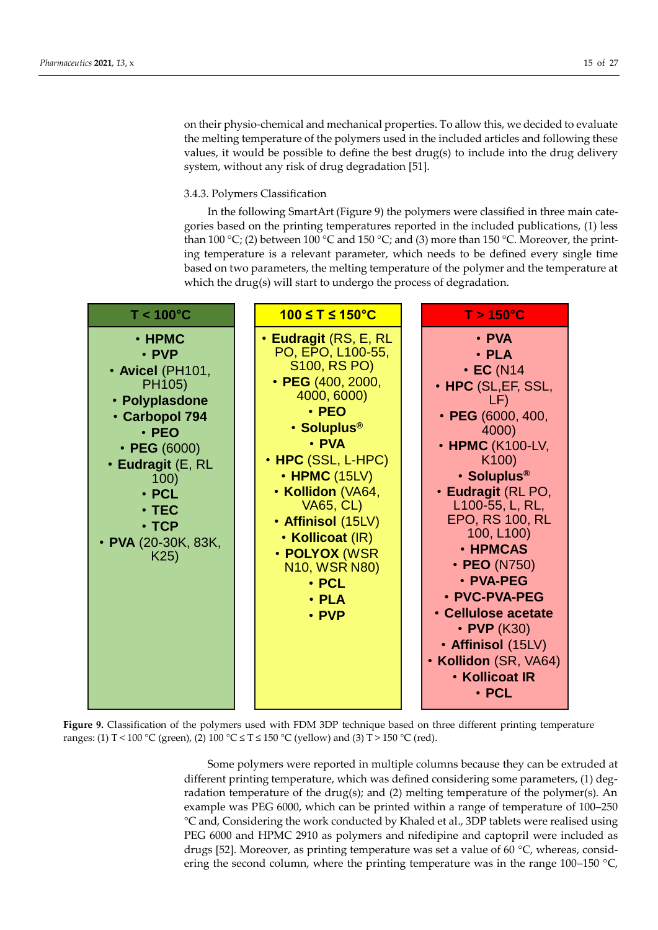on their physio-chemical and mechanical properties. To allow this, we decided to evaluate the melting temperature of the polymers used in the included articles and following these values, it would be possible to define the best drug(s) to include into the drug delivery system, without any risk of drug degradation [51].

## 3.4.3. Polymers Classification

In the following SmartArt (Figure 9) the polymers were classified in three main categories based on the printing temperatures reported in the included publications, (1) less than 100 °C; (2) between 100 °C and 150 °C; and (3) more than 150 °C. Moreover, the printing temperature is a relevant parameter, which needs to be defined every single time based on two parameters, the melting temperature of the polymer and the temperature at which the drug(s) will start to undergo the process of degradation.



**Figure 9.** Classification of the polymers used with FDM 3DP technique based on three different printing temperature ranges: (1) T < 100 °C (green), (2) 100 °C  $\leq$  T  $\leq$  150 °C (yellow) and (3) T > 150 °C (red).

Some polymers were reported in multiple columns because they can be extruded at different printing temperature, which was defined considering some parameters, (1) degradation temperature of the drug(s); and (2) melting temperature of the polymer(s). An example was PEG 6000, which can be printed within a range of temperature of 100–250 °C and, Considering the work conducted by Khaled et al., 3DP tablets were realised using PEG 6000 and HPMC 2910 as polymers and nifedipine and captopril were included as drugs [52]. Moreover, as printing temperature was set a value of 60 °C, whereas, considering the second column, where the printing temperature was in the range 100–150  $^{\circ}$ C,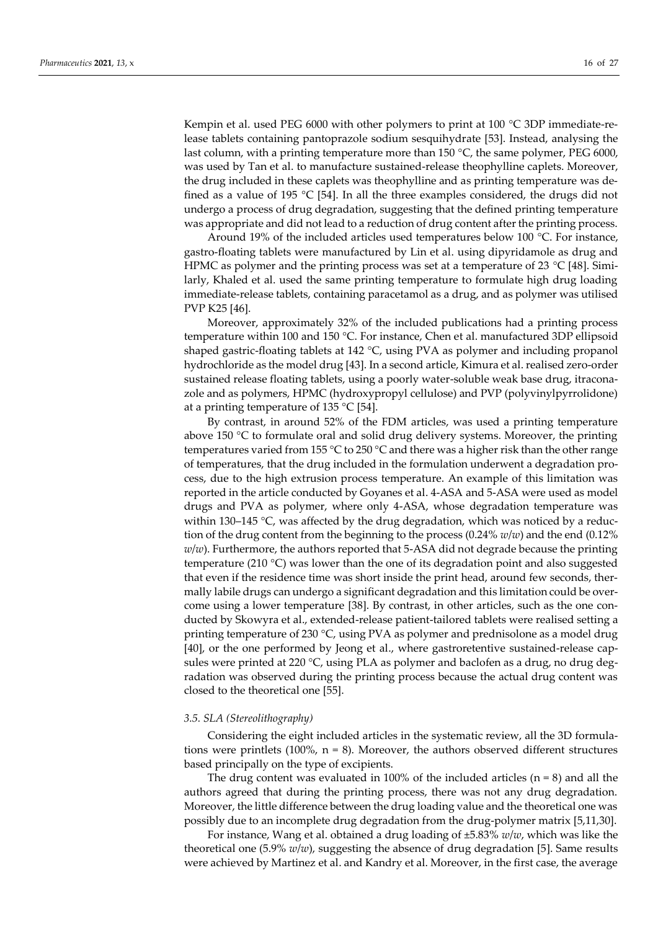Kempin et al. used PEG 6000 with other polymers to print at 100 °C 3DP immediate-release tablets containing pantoprazole sodium sesquihydrate [53]. Instead, analysing the last column, with a printing temperature more than 150 °C, the same polymer, PEG 6000, was used by Tan et al. to manufacture sustained-release theophylline caplets. Moreover, the drug included in these caplets was theophylline and as printing temperature was defined as a value of 195 °C [54]. In all the three examples considered, the drugs did not undergo a process of drug degradation, suggesting that the defined printing temperature was appropriate and did not lead to a reduction of drug content after the printing process.

Around 19% of the included articles used temperatures below 100 °C. For instance, gastro-floating tablets were manufactured by Lin et al. using dipyridamole as drug and HPMC as polymer and the printing process was set at a temperature of 23 °C [48]. Similarly, Khaled et al. used the same printing temperature to formulate high drug loading immediate-release tablets, containing paracetamol as a drug, and as polymer was utilised PVP K25 [46].

Moreover, approximately 32% of the included publications had a printing process temperature within 100 and 150 °C. For instance, Chen et al. manufactured 3DP ellipsoid shaped gastric-floating tablets at 142 °C, using PVA as polymer and including propanol hydrochloride as the model drug [43]. In a second article, Kimura et al. realised zero-order sustained release floating tablets, using a poorly water-soluble weak base drug, itraconazole and as polymers, HPMC (hydroxypropyl cellulose) and PVP (polyvinylpyrrolidone) at a printing temperature of 135 °C [54].

By contrast, in around 52% of the FDM articles, was used a printing temperature above 150 °C to formulate oral and solid drug delivery systems. Moreover, the printing temperatures varied from 155 °C to 250 °C and there was a higher risk than the other range of temperatures, that the drug included in the formulation underwent a degradation process, due to the high extrusion process temperature. An example of this limitation was reported in the article conducted by Goyanes et al. 4-ASA and 5-ASA were used as model drugs and PVA as polymer, where only 4-ASA, whose degradation temperature was within 130–145 °C, was affected by the drug degradation, which was noticed by a reduction of the drug content from the beginning to the process (0.24% *w*/*w*) and the end (0.12% *w*/*w*). Furthermore, the authors reported that 5-ASA did not degrade because the printing temperature (210 °C) was lower than the one of its degradation point and also suggested that even if the residence time was short inside the print head, around few seconds, thermally labile drugs can undergo a significant degradation and this limitation could be overcome using a lower temperature [38]. By contrast, in other articles, such as the one conducted by Skowyra et al., extended-release patient-tailored tablets were realised setting a printing temperature of 230  $\degree$ C, using PVA as polymer and prednisolone as a model drug [40], or the one performed by Jeong et al., where gastroretentive sustained-release capsules were printed at 220  $^{\circ}$ C, using PLA as polymer and baclofen as a drug, no drug degradation was observed during the printing process because the actual drug content was closed to the theoretical one [55].

#### *3.5. SLA (Stereolithography)*

Considering the eight included articles in the systematic review, all the 3D formulations were printlets (100%,  $n = 8$ ). Moreover, the authors observed different structures based principally on the type of excipients.

The drug content was evaluated in 100% of the included articles  $(n = 8)$  and all the authors agreed that during the printing process, there was not any drug degradation. Moreover, the little difference between the drug loading value and the theoretical one was possibly due to an incomplete drug degradation from the drug-polymer matrix [5,11,30].

For instance, Wang et al. obtained a drug loading of ±5.83% *w*/*w*, which was like the theoretical one (5.9% *w*/*w*), suggesting the absence of drug degradation [5]. Same results were achieved by Martinez et al. and Kandry et al. Moreover, in the first case, the average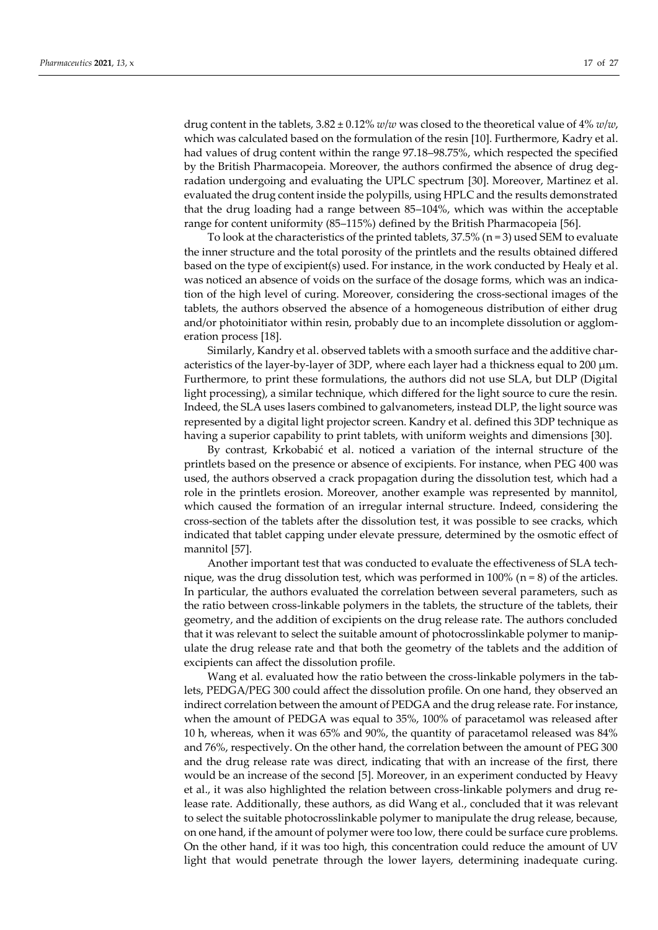drug content in the tablets,  $3.82 \pm 0.12\%$  *w/w* was closed to the theoretical value of  $4\%$  *w/w*, which was calculated based on the formulation of the resin [10]. Furthermore, Kadry et al. had values of drug content within the range 97.18–98.75%, which respected the specified by the British Pharmacopeia. Moreover, the authors confirmed the absence of drug degradation undergoing and evaluating the UPLC spectrum [30]. Moreover, Martinez et al. evaluated the drug content inside the polypills, using HPLC and the results demonstrated that the drug loading had a range between 85–104%, which was within the acceptable range for content uniformity (85–115%) defined by the British Pharmacopeia [56].

To look at the characteristics of the printed tablets,  $37.5\%$  (n = 3) used SEM to evaluate the inner structure and the total porosity of the printlets and the results obtained differed based on the type of excipient(s) used. For instance, in the work conducted by Healy et al. was noticed an absence of voids on the surface of the dosage forms, which was an indication of the high level of curing. Moreover, considering the cross-sectional images of the tablets, the authors observed the absence of a homogeneous distribution of either drug and/or photoinitiator within resin, probably due to an incomplete dissolution or agglomeration process [18].

Similarly, Kandry et al. observed tablets with a smooth surface and the additive characteristics of the layer-by-layer of 3DP, where each layer had a thickness equal to 200  $\mu$ m. Furthermore, to print these formulations, the authors did not use SLA, but DLP (Digital light processing), a similar technique, which differed for the light source to cure the resin. Indeed, the SLA uses lasers combined to galvanometers, instead DLP, the light source was represented by a digital light projector screen. Kandry et al. defined this 3DP technique as having a superior capability to print tablets, with uniform weights and dimensions [30].

By contrast, Krkobabić et al. noticed a variation of the internal structure of the printlets based on the presence or absence of excipients. For instance, when PEG 400 was used, the authors observed a crack propagation during the dissolution test, which had a role in the printlets erosion. Moreover, another example was represented by mannitol, which caused the formation of an irregular internal structure. Indeed, considering the cross-section of the tablets after the dissolution test, it was possible to see cracks, which indicated that tablet capping under elevate pressure, determined by the osmotic effect of mannitol [57].

Another important test that was conducted to evaluate the effectiveness of SLA technique, was the drug dissolution test, which was performed in  $100\%$  (n = 8) of the articles. In particular, the authors evaluated the correlation between several parameters, such as the ratio between cross-linkable polymers in the tablets, the structure of the tablets, their geometry, and the addition of excipients on the drug release rate. The authors concluded that it was relevant to select the suitable amount of photocrosslinkable polymer to manipulate the drug release rate and that both the geometry of the tablets and the addition of excipients can affect the dissolution profile.

Wang et al. evaluated how the ratio between the cross-linkable polymers in the tablets, PEDGA/PEG 300 could affect the dissolution profile. On one hand, they observed an indirect correlation between the amount of PEDGA and the drug release rate. For instance, when the amount of PEDGA was equal to 35%, 100% of paracetamol was released after 10 h, whereas, when it was 65% and 90%, the quantity of paracetamol released was 84% and 76%, respectively. On the other hand, the correlation between the amount of PEG 300 and the drug release rate was direct, indicating that with an increase of the first, there would be an increase of the second [5]. Moreover, in an experiment conducted by Heavy et al., it was also highlighted the relation between cross-linkable polymers and drug release rate. Additionally, these authors, as did Wang et al., concluded that it was relevant to select the suitable photocrosslinkable polymer to manipulate the drug release, because, on one hand, if the amount of polymer were too low, there could be surface cure problems. On the other hand, if it was too high, this concentration could reduce the amount of UV light that would penetrate through the lower layers, determining inadequate curing.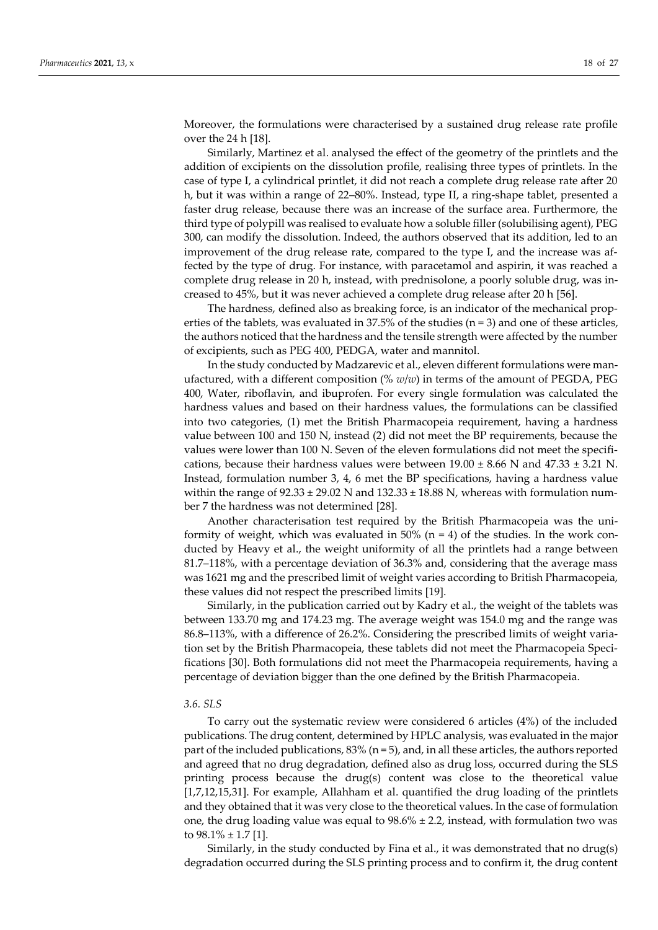Moreover, the formulations were characterised by a sustained drug release rate profile over the 24 h [18].

Similarly, Martinez et al. analysed the effect of the geometry of the printlets and the addition of excipients on the dissolution profile, realising three types of printlets. In the case of type I, a cylindrical printlet, it did not reach a complete drug release rate after 20 h, but it was within a range of 22–80%. Instead, type II, a ring-shape tablet, presented a faster drug release, because there was an increase of the surface area. Furthermore, the third type of polypill was realised to evaluate how a soluble filler (solubilising agent), PEG 300, can modify the dissolution. Indeed, the authors observed that its addition, led to an improvement of the drug release rate, compared to the type I, and the increase was affected by the type of drug. For instance, with paracetamol and aspirin, it was reached a complete drug release in 20 h, instead, with prednisolone, a poorly soluble drug, was increased to 45%, but it was never achieved a complete drug release after 20 h [56].

The hardness, defined also as breaking force, is an indicator of the mechanical properties of the tablets, was evaluated in  $37.5\%$  of the studies (n = 3) and one of these articles, the authors noticed that the hardness and the tensile strength were affected by the number of excipients, such as PEG 400, PEDGA, water and mannitol.

In the study conducted by Madzarevic et al., eleven different formulations were manufactured, with a different composition (% *w*/*w*) in terms of the amount of PEGDA, PEG 400, Water, riboflavin, and ibuprofen. For every single formulation was calculated the hardness values and based on their hardness values, the formulations can be classified into two categories, (1) met the British Pharmacopeia requirement, having a hardness value between 100 and 150 N, instead (2) did not meet the BP requirements, because the values were lower than 100 N. Seven of the eleven formulations did not meet the specifications, because their hardness values were between  $19.00 \pm 8.66$  N and  $47.33 \pm 3.21$  N. Instead, formulation number 3, 4, 6 met the BP specifications, having a hardness value within the range of  $92.33 \pm 29.02$  N and  $132.33 \pm 18.88$  N, whereas with formulation number 7 the hardness was not determined [28].

Another characterisation test required by the British Pharmacopeia was the uniformity of weight, which was evaluated in 50% ( $n = 4$ ) of the studies. In the work conducted by Heavy et al., the weight uniformity of all the printlets had a range between 81.7–118%, with a percentage deviation of 36.3% and, considering that the average mass was 1621 mg and the prescribed limit of weight varies according to British Pharmacopeia, these values did not respect the prescribed limits [19].

Similarly, in the publication carried out by Kadry et al., the weight of the tablets was between 133.70 mg and 174.23 mg. The average weight was 154.0 mg and the range was 86.8–113%, with a difference of 26.2%. Considering the prescribed limits of weight variation set by the British Pharmacopeia, these tablets did not meet the Pharmacopeia Specifications [30]. Both formulations did not meet the Pharmacopeia requirements, having a percentage of deviation bigger than the one defined by the British Pharmacopeia.

#### *3.6. SLS*

To carry out the systematic review were considered 6 articles (4%) of the included publications. The drug content, determined by HPLC analysis, was evaluated in the major part of the included publications,  $83\%$  (n = 5), and, in all these articles, the authors reported and agreed that no drug degradation, defined also as drug loss, occurred during the SLS printing process because the drug(s) content was close to the theoretical value [1,7,12,15,31]. For example, Allahham et al. quantified the drug loading of the printlets and they obtained that it was very close to the theoretical values. In the case of formulation one, the drug loading value was equal to  $98.6\% \pm 2.2$ , instead, with formulation two was to  $98.1\% \pm 1.7$  [1].

Similarly, in the study conducted by Fina et al., it was demonstrated that no drug(s) degradation occurred during the SLS printing process and to confirm it, the drug content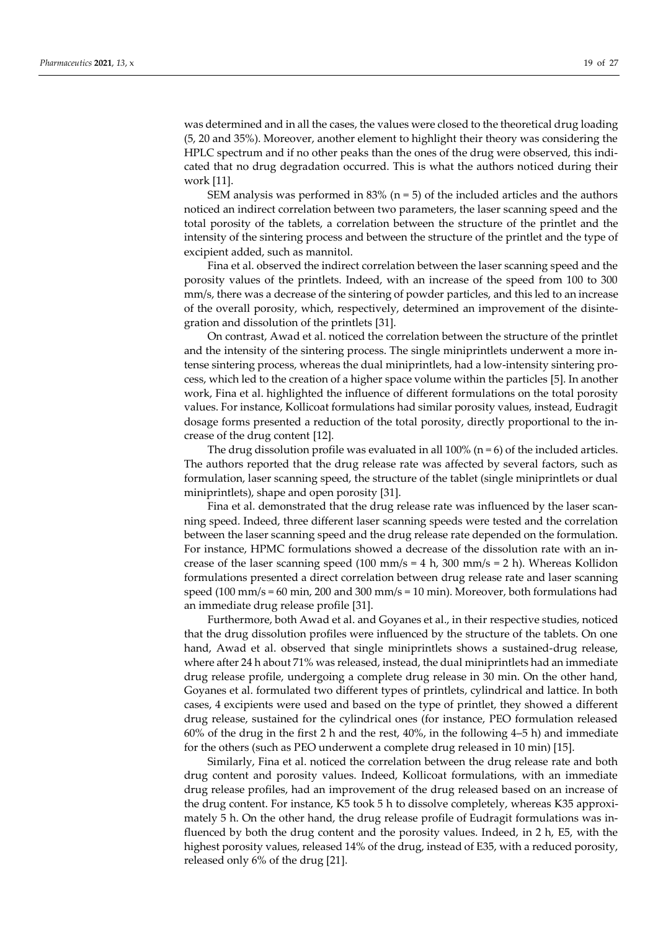was determined and in all the cases, the values were closed to the theoretical drug loading (5, 20 and 35%). Moreover, another element to highlight their theory was considering the HPLC spectrum and if no other peaks than the ones of the drug were observed, this indicated that no drug degradation occurred. This is what the authors noticed during their work [11].

SEM analysis was performed in  $83\%$  (n = 5) of the included articles and the authors noticed an indirect correlation between two parameters, the laser scanning speed and the total porosity of the tablets, a correlation between the structure of the printlet and the intensity of the sintering process and between the structure of the printlet and the type of excipient added, such as mannitol.

Fina et al. observed the indirect correlation between the laser scanning speed and the porosity values of the printlets. Indeed, with an increase of the speed from 100 to 300 mm/s, there was a decrease of the sintering of powder particles, and this led to an increase of the overall porosity, which, respectively, determined an improvement of the disintegration and dissolution of the printlets [31].

On contrast, Awad et al. noticed the correlation between the structure of the printlet and the intensity of the sintering process. The single miniprintlets underwent a more intense sintering process, whereas the dual miniprintlets, had a low-intensity sintering process, which led to the creation of a higher space volume within the particles [5]. In another work, Fina et al. highlighted the influence of different formulations on the total porosity values. For instance, Kollicoat formulations had similar porosity values, instead, Eudragit dosage forms presented a reduction of the total porosity, directly proportional to the increase of the drug content [12].

The drug dissolution profile was evaluated in all 100% ( $n = 6$ ) of the included articles. The authors reported that the drug release rate was affected by several factors, such as formulation, laser scanning speed, the structure of the tablet (single miniprintlets or dual miniprintlets), shape and open porosity [31].

Fina et al. demonstrated that the drug release rate was influenced by the laser scanning speed. Indeed, three different laser scanning speeds were tested and the correlation between the laser scanning speed and the drug release rate depended on the formulation. For instance, HPMC formulations showed a decrease of the dissolution rate with an increase of the laser scanning speed (100 mm/s = 4 h, 300 mm/s = 2 h). Whereas Kollidon formulations presented a direct correlation between drug release rate and laser scanning speed (100 mm/s = 60 min, 200 and 300 mm/s = 10 min). Moreover, both formulations had an immediate drug release profile [31].

Furthermore, both Awad et al. and Goyanes et al., in their respective studies, noticed that the drug dissolution profiles were influenced by the structure of the tablets. On one hand, Awad et al. observed that single miniprintlets shows a sustained-drug release, where after 24 h about 71% was released, instead, the dual miniprintlets had an immediate drug release profile, undergoing a complete drug release in 30 min. On the other hand, Goyanes et al. formulated two different types of printlets, cylindrical and lattice. In both cases, 4 excipients were used and based on the type of printlet, they showed a different drug release, sustained for the cylindrical ones (for instance, PEO formulation released 60% of the drug in the first 2 h and the rest, 40%, in the following 4–5 h) and immediate for the others (such as PEO underwent a complete drug released in 10 min) [15].

Similarly, Fina et al. noticed the correlation between the drug release rate and both drug content and porosity values. Indeed, Kollicoat formulations, with an immediate drug release profiles, had an improvement of the drug released based on an increase of the drug content. For instance, K5 took 5 h to dissolve completely, whereas K35 approximately 5 h. On the other hand, the drug release profile of Eudragit formulations was influenced by both the drug content and the porosity values. Indeed, in 2 h, E5, with the highest porosity values, released 14% of the drug, instead of E35, with a reduced porosity, released only 6% of the drug [21].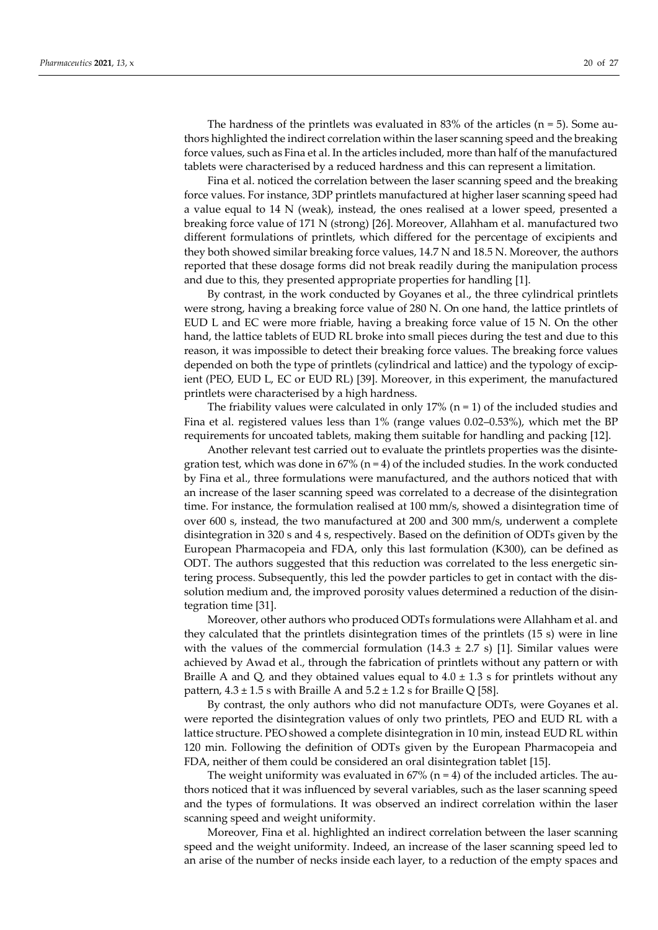The hardness of the printlets was evaluated in 83% of the articles ( $n = 5$ ). Some authors highlighted the indirect correlation within the laser scanning speed and the breaking force values, such as Fina et al. In the articles included, more than half of the manufactured tablets were characterised by a reduced hardness and this can represent a limitation.

Fina et al. noticed the correlation between the laser scanning speed and the breaking force values. For instance, 3DP printlets manufactured at higher laser scanning speed had a value equal to 14 N (weak), instead, the ones realised at a lower speed, presented a breaking force value of 171 N (strong) [26]. Moreover, Allahham et al. manufactured two different formulations of printlets, which differed for the percentage of excipients and they both showed similar breaking force values, 14.7 N and 18.5 N. Moreover, the authors reported that these dosage forms did not break readily during the manipulation process and due to this, they presented appropriate properties for handling [1].

By contrast, in the work conducted by Goyanes et al., the three cylindrical printlets were strong, having a breaking force value of 280 N. On one hand, the lattice printlets of EUD L and EC were more friable, having a breaking force value of 15 N. On the other hand, the lattice tablets of EUD RL broke into small pieces during the test and due to this reason, it was impossible to detect their breaking force values. The breaking force values depended on both the type of printlets (cylindrical and lattice) and the typology of excipient (PEO, EUD L, EC or EUD RL) [39]. Moreover, in this experiment, the manufactured printlets were characterised by a high hardness.

The friability values were calculated in only 17% ( $n = 1$ ) of the included studies and Fina et al. registered values less than 1% (range values 0.02–0.53%), which met the BP requirements for uncoated tablets, making them suitable for handling and packing [12].

Another relevant test carried out to evaluate the printlets properties was the disintegration test, which was done in  $67\%$  (n = 4) of the included studies. In the work conducted by Fina et al., three formulations were manufactured, and the authors noticed that with an increase of the laser scanning speed was correlated to a decrease of the disintegration time. For instance, the formulation realised at 100 mm/s, showed a disintegration time of over 600 s, instead, the two manufactured at 200 and 300 mm/s, underwent a complete disintegration in 320 s and 4 s, respectively. Based on the definition of ODTs given by the European Pharmacopeia and FDA, only this last formulation (K300), can be defined as ODT. The authors suggested that this reduction was correlated to the less energetic sintering process. Subsequently, this led the powder particles to get in contact with the dissolution medium and, the improved porosity values determined a reduction of the disintegration time [31].

Moreover, other authors who produced ODTs formulations were Allahham et al. and they calculated that the printlets disintegration times of the printlets (15 s) were in line with the values of the commercial formulation  $(14.3 \pm 2.7 \text{ s})$  [1]. Similar values were achieved by Awad et al., through the fabrication of printlets without any pattern or with Braille A and Q, and they obtained values equal to  $4.0 \pm 1.3$  s for printlets without any pattern,  $4.3 \pm 1.5$  s with Braille A and  $5.2 \pm 1.2$  s for Braille Q [58].

By contrast, the only authors who did not manufacture ODTs, were Goyanes et al. were reported the disintegration values of only two printlets, PEO and EUD RL with a lattice structure. PEO showed a complete disintegration in 10 min, instead EUD RL within 120 min. Following the definition of ODTs given by the European Pharmacopeia and FDA, neither of them could be considered an oral disintegration tablet [15].

The weight uniformity was evaluated in  $67\%$  (n = 4) of the included articles. The authors noticed that it was influenced by several variables, such as the laser scanning speed and the types of formulations. It was observed an indirect correlation within the laser scanning speed and weight uniformity.

Moreover, Fina et al. highlighted an indirect correlation between the laser scanning speed and the weight uniformity. Indeed, an increase of the laser scanning speed led to an arise of the number of necks inside each layer, to a reduction of the empty spaces and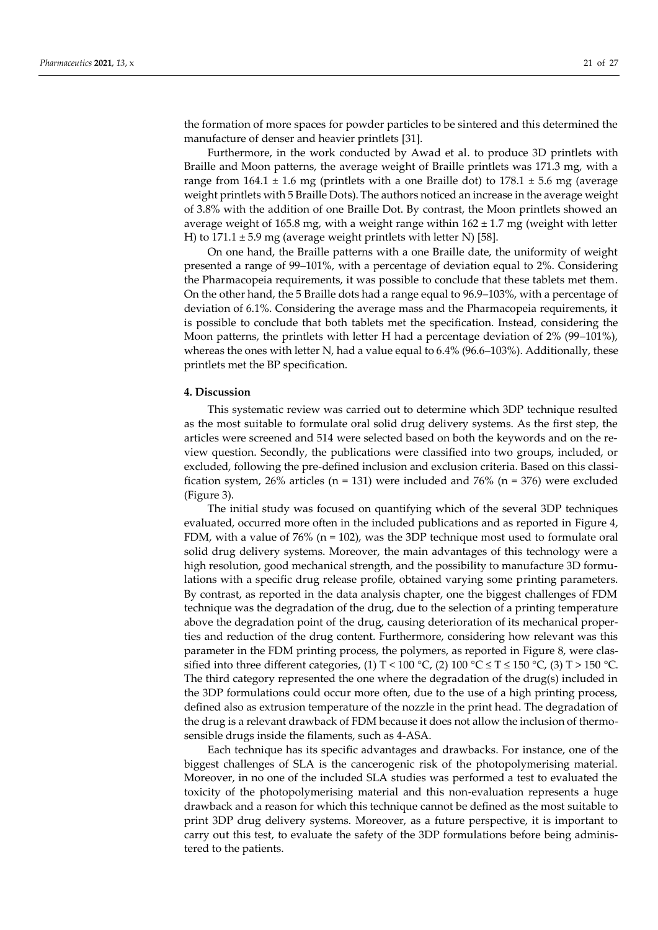the formation of more spaces for powder particles to be sintered and this determined the manufacture of denser and heavier printlets [31].

Furthermore, in the work conducted by Awad et al. to produce 3D printlets with Braille and Moon patterns, the average weight of Braille printlets was 171.3 mg, with a range from  $164.1 \pm 1.6$  mg (printlets with a one Braille dot) to  $178.1 \pm 5.6$  mg (average weight printlets with 5 Braille Dots). The authors noticed an increase in the average weight of 3.8% with the addition of one Braille Dot. By contrast, the Moon printlets showed an average weight of 165.8 mg, with a weight range within  $162 \pm 1.7$  mg (weight with letter H) to  $171.1 \pm 5.9$  mg (average weight printlets with letter N) [58].

On one hand, the Braille patterns with a one Braille date, the uniformity of weight presented a range of 99–101%, with a percentage of deviation equal to 2%. Considering the Pharmacopeia requirements, it was possible to conclude that these tablets met them. On the other hand, the 5 Braille dots had a range equal to 96.9–103%, with a percentage of deviation of 6.1%. Considering the average mass and the Pharmacopeia requirements, it is possible to conclude that both tablets met the specification. Instead, considering the Moon patterns, the printlets with letter H had a percentage deviation of 2% (99–101%), whereas the ones with letter N, had a value equal to 6.4% (96.6–103%). Additionally, these printlets met the BP specification.

#### **4. Discussion**

This systematic review was carried out to determine which 3DP technique resulted as the most suitable to formulate oral solid drug delivery systems. As the first step, the articles were screened and 514 were selected based on both the keywords and on the review question. Secondly, the publications were classified into two groups, included, or excluded, following the pre-defined inclusion and exclusion criteria. Based on this classification system, 26% articles ( $n = 131$ ) were included and 76% ( $n = 376$ ) were excluded (Figure 3).

The initial study was focused on quantifying which of the several 3DP techniques evaluated, occurred more often in the included publications and as reported in Figure 4, FDM, with a value of 76% ( $n = 102$ ), was the 3DP technique most used to formulate oral solid drug delivery systems. Moreover, the main advantages of this technology were a high resolution, good mechanical strength, and the possibility to manufacture 3D formulations with a specific drug release profile, obtained varying some printing parameters. By contrast, as reported in the data analysis chapter, one the biggest challenges of FDM technique was the degradation of the drug, due to the selection of a printing temperature above the degradation point of the drug, causing deterioration of its mechanical properties and reduction of the drug content. Furthermore, considering how relevant was this parameter in the FDM printing process, the polymers, as reported in Figure 8, were classified into three different categories, (1) T < 100 °C, (2) 100 °C  $\leq$  T  $\leq$  150 °C, (3) T > 150 °C. The third category represented the one where the degradation of the drug(s) included in the 3DP formulations could occur more often, due to the use of a high printing process, defined also as extrusion temperature of the nozzle in the print head. The degradation of the drug is a relevant drawback of FDM because it does not allow the inclusion of thermosensible drugs inside the filaments, such as 4-ASA.

Each technique has its specific advantages and drawbacks. For instance, one of the biggest challenges of SLA is the cancerogenic risk of the photopolymerising material. Moreover, in no one of the included SLA studies was performed a test to evaluated the toxicity of the photopolymerising material and this non-evaluation represents a huge drawback and a reason for which this technique cannot be defined as the most suitable to print 3DP drug delivery systems. Moreover, as a future perspective, it is important to carry out this test, to evaluate the safety of the 3DP formulations before being administered to the patients.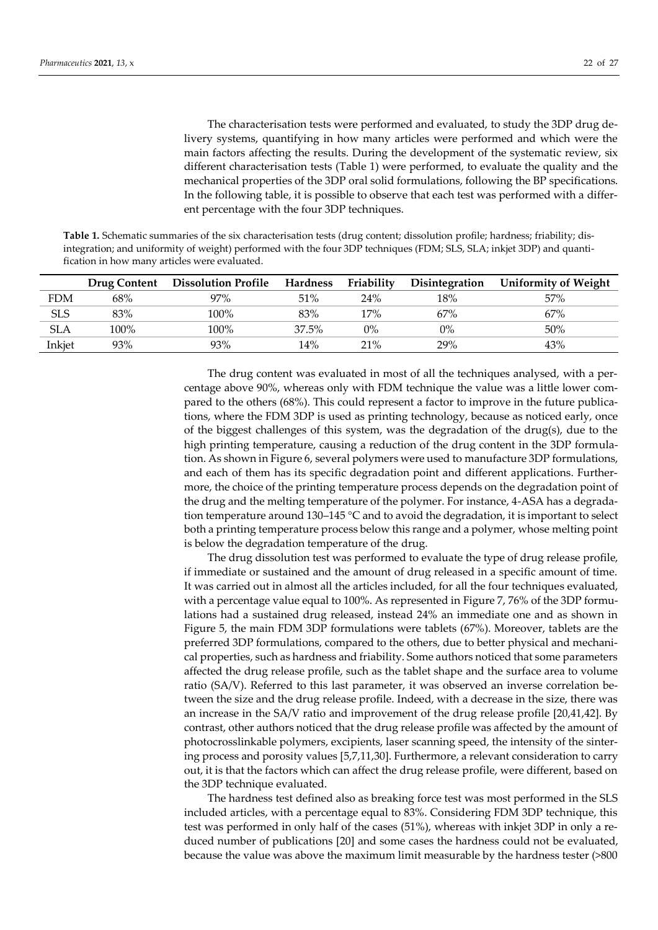The characterisation tests were performed and evaluated, to study the 3DP drug delivery systems, quantifying in how many articles were performed and which were the main factors affecting the results. During the development of the systematic review, six different characterisation tests (Table 1) were performed, to evaluate the quality and the mechanical properties of the 3DP oral solid formulations, following the BP specifications. In the following table, it is possible to observe that each test was performed with a different percentage with the four 3DP techniques.

**Table 1.** Schematic summaries of the six characterisation tests (drug content; dissolution profile; hardness; friability; disintegration; and uniformity of weight) performed with the four 3DP techniques (FDM; SLS, SLA; inkjet 3DP) and quantification in how many articles were evaluated.

|            |      | Drug Content Dissolution Profile | Hardness | Friability | <b>Disintegration</b> | <b>Uniformity of Weight</b> |
|------------|------|----------------------------------|----------|------------|-----------------------|-----------------------------|
| <b>FDM</b> | 68%  | 97%                              | 51%      | 24%        | 18%                   | 57%                         |
| <b>SLS</b> | 83%  | $100\%$                          | 83%      | 17%        | 67%                   | 67%                         |
| <b>SLA</b> | 100% | $100\%$                          | 37.5%    | $0\%$      | $0\%$                 | $50\%$                      |
| Inkjet     | 93%  | 93%                              | 14%      | 21%        | 29%                   | 43%                         |

The drug content was evaluated in most of all the techniques analysed, with a percentage above 90%, whereas only with FDM technique the value was a little lower compared to the others (68%). This could represent a factor to improve in the future publications, where the FDM 3DP is used as printing technology, because as noticed early, once of the biggest challenges of this system, was the degradation of the drug(s), due to the high printing temperature, causing a reduction of the drug content in the 3DP formulation. As shown in Figure 6, several polymers were used to manufacture 3DP formulations, and each of them has its specific degradation point and different applications. Furthermore, the choice of the printing temperature process depends on the degradation point of the drug and the melting temperature of the polymer. For instance, 4-ASA has a degradation temperature around 130–145  $\degree$ C and to avoid the degradation, it is important to select both a printing temperature process below this range and a polymer, whose melting point is below the degradation temperature of the drug.

The drug dissolution test was performed to evaluate the type of drug release profile, if immediate or sustained and the amount of drug released in a specific amount of time. It was carried out in almost all the articles included, for all the four techniques evaluated, with a percentage value equal to 100%. As represented in Figure 7, 76% of the 3DP formulations had a sustained drug released, instead 24% an immediate one and as shown in Figure 5, the main FDM 3DP formulations were tablets (67%). Moreover, tablets are the preferred 3DP formulations, compared to the others, due to better physical and mechanical properties, such as hardness and friability. Some authors noticed that some parameters affected the drug release profile, such as the tablet shape and the surface area to volume ratio (SA/V). Referred to this last parameter, it was observed an inverse correlation between the size and the drug release profile. Indeed, with a decrease in the size, there was an increase in the SA/V ratio and improvement of the drug release profile [20,41,42]. By contrast, other authors noticed that the drug release profile was affected by the amount of photocrosslinkable polymers, excipients, laser scanning speed, the intensity of the sintering process and porosity values [5,7,11,30]. Furthermore, a relevant consideration to carry out, it is that the factors which can affect the drug release profile, were different, based on the 3DP technique evaluated.

The hardness test defined also as breaking force test was most performed in the SLS included articles, with a percentage equal to 83%. Considering FDM 3DP technique, this test was performed in only half of the cases (51%), whereas with inkjet 3DP in only a reduced number of publications [20] and some cases the hardness could not be evaluated, because the value was above the maximum limit measurable by the hardness tester (>800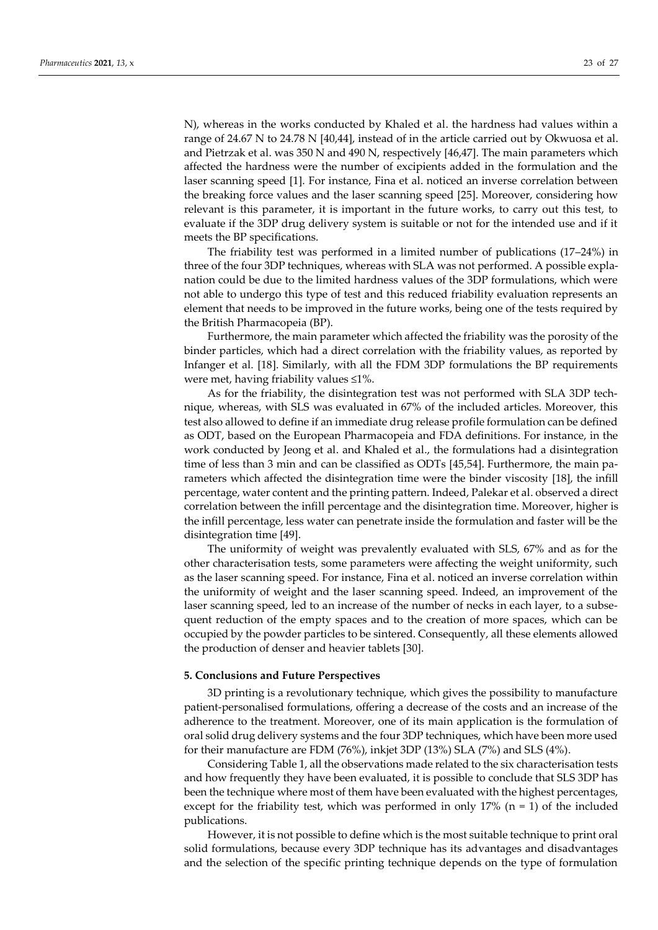N), whereas in the works conducted by Khaled et al. the hardness had values within a range of 24.67 N to 24.78 N [40,44], instead of in the article carried out by Okwuosa et al. and Pietrzak et al. was 350 N and 490 N, respectively [46,47]. The main parameters which affected the hardness were the number of excipients added in the formulation and the laser scanning speed [1]. For instance, Fina et al. noticed an inverse correlation between the breaking force values and the laser scanning speed [25]. Moreover, considering how relevant is this parameter, it is important in the future works, to carry out this test, to evaluate if the 3DP drug delivery system is suitable or not for the intended use and if it meets the BP specifications.

The friability test was performed in a limited number of publications (17–24%) in three of the four 3DP techniques, whereas with SLA was not performed. A possible explanation could be due to the limited hardness values of the 3DP formulations, which were not able to undergo this type of test and this reduced friability evaluation represents an element that needs to be improved in the future works, being one of the tests required by the British Pharmacopeia (BP).

Furthermore, the main parameter which affected the friability was the porosity of the binder particles, which had a direct correlation with the friability values, as reported by Infanger et al. [18]. Similarly, with all the FDM 3DP formulations the BP requirements were met, having friability values ≤1%.

As for the friability, the disintegration test was not performed with SLA 3DP technique, whereas, with SLS was evaluated in 67% of the included articles. Moreover, this test also allowed to define if an immediate drug release profile formulation can be defined as ODT, based on the European Pharmacopeia and FDA definitions. For instance, in the work conducted by Jeong et al. and Khaled et al., the formulations had a disintegration time of less than 3 min and can be classified as ODTs [45,54]. Furthermore, the main parameters which affected the disintegration time were the binder viscosity [18], the infill percentage, water content and the printing pattern. Indeed, Palekar et al. observed a direct correlation between the infill percentage and the disintegration time. Moreover, higher is the infill percentage, less water can penetrate inside the formulation and faster will be the disintegration time [49].

The uniformity of weight was prevalently evaluated with SLS, 67% and as for the other characterisation tests, some parameters were affecting the weight uniformity, such as the laser scanning speed. For instance, Fina et al. noticed an inverse correlation within the uniformity of weight and the laser scanning speed. Indeed, an improvement of the laser scanning speed, led to an increase of the number of necks in each layer, to a subsequent reduction of the empty spaces and to the creation of more spaces, which can be occupied by the powder particles to be sintered. Consequently, all these elements allowed the production of denser and heavier tablets [30].

#### **5. Conclusions and Future Perspectives**

3D printing is a revolutionary technique, which gives the possibility to manufacture patient-personalised formulations, offering a decrease of the costs and an increase of the adherence to the treatment. Moreover, one of its main application is the formulation of oral solid drug delivery systems and the four 3DP techniques, which have been more used for their manufacture are FDM (76%), inkjet 3DP (13%) SLA (7%) and SLS (4%).

Considering Table 1, all the observations made related to the six characterisation tests and how frequently they have been evaluated, it is possible to conclude that SLS 3DP has been the technique where most of them have been evaluated with the highest percentages, except for the friability test, which was performed in only  $17\%$  (n = 1) of the included publications.

However, it is not possible to define which is the most suitable technique to print oral solid formulations, because every 3DP technique has its advantages and disadvantages and the selection of the specific printing technique depends on the type of formulation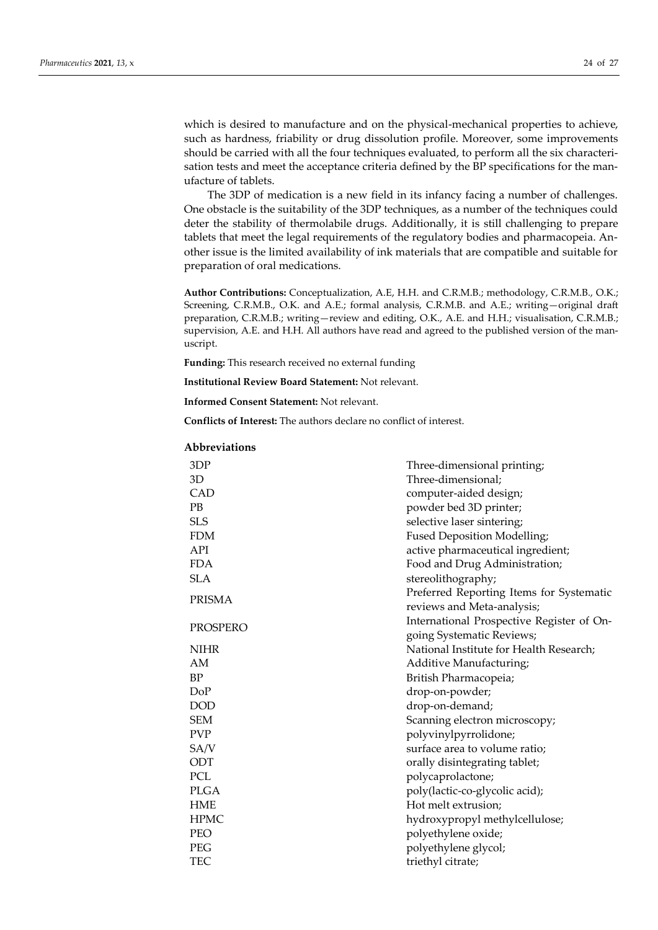which is desired to manufacture and on the physical-mechanical properties to achieve, such as hardness, friability or drug dissolution profile. Moreover, some improvements should be carried with all the four techniques evaluated, to perform all the six characterisation tests and meet the acceptance criteria defined by the BP specifications for the manufacture of tablets.

The 3DP of medication is a new field in its infancy facing a number of challenges. One obstacle is the suitability of the 3DP techniques, as a number of the techniques could deter the stability of thermolabile drugs. Additionally, it is still challenging to prepare tablets that meet the legal requirements of the regulatory bodies and pharmacopeia. Another issue is the limited availability of ink materials that are compatible and suitable for preparation of oral medications.

**Author Contributions:** Conceptualization, A.E, H.H. and C.R.M.B.; methodology, C.R.M.B., O.K.; Screening, C.R.M.B., O.K. and A.E.; formal analysis, C.R.M.B. and A.E.; writing—original draft preparation, C.R.M.B.; writing—review and editing, O.K., A.E. and H.H.; visualisation, C.R.M.B.; supervision, A.E. and H.H. All authors have read and agreed to the published version of the manuscript.

**Funding:** This research received no external funding

**Institutional Review Board Statement:** Not relevant.

**Informed Consent Statement:** Not relevant.

**Conflicts of Interest:** The authors declare no conflict of interest.

| 3DP         | Three-dimensional printing;               |  |  |
|-------------|-------------------------------------------|--|--|
| 3D          | Three-dimensional;                        |  |  |
| CAD         | computer-aided design;                    |  |  |
| PB          | powder bed 3D printer;                    |  |  |
| <b>SLS</b>  | selective laser sintering;                |  |  |
| <b>FDM</b>  | Fused Deposition Modelling;               |  |  |
| API         | active pharmaceutical ingredient;         |  |  |
| <b>FDA</b>  | Food and Drug Administration;             |  |  |
| <b>SLA</b>  | stereolithography;                        |  |  |
|             | Preferred Reporting Items for Systematic  |  |  |
| PRISMA      | reviews and Meta-analysis;                |  |  |
|             | International Prospective Register of On- |  |  |
| PROSPERO    | going Systematic Reviews;                 |  |  |
| <b>NIHR</b> | National Institute for Health Research;   |  |  |
| AM          | Additive Manufacturing;                   |  |  |
| <b>BP</b>   | British Pharmacopeia;                     |  |  |
| DoP         | drop-on-powder;                           |  |  |
| <b>DOD</b>  | drop-on-demand;                           |  |  |
| <b>SEM</b>  | Scanning electron microscopy;             |  |  |
| <b>PVP</b>  | polyvinylpyrrolidone;                     |  |  |
| SA/V        | surface area to volume ratio;             |  |  |
| ODT         | orally disintegrating tablet;             |  |  |
| PCL         | polycaprolactone;                         |  |  |
| <b>PLGA</b> | poly(lactic-co-glycolic acid);            |  |  |
| HME         | Hot melt extrusion;                       |  |  |
| <b>HPMC</b> | hydroxypropyl methylcellulose;            |  |  |
| <b>PEO</b>  | polyethylene oxide;                       |  |  |
| PEG         | polyethylene glycol;                      |  |  |
| TEC         | triethyl citrate;                         |  |  |

#### **Abbreviations**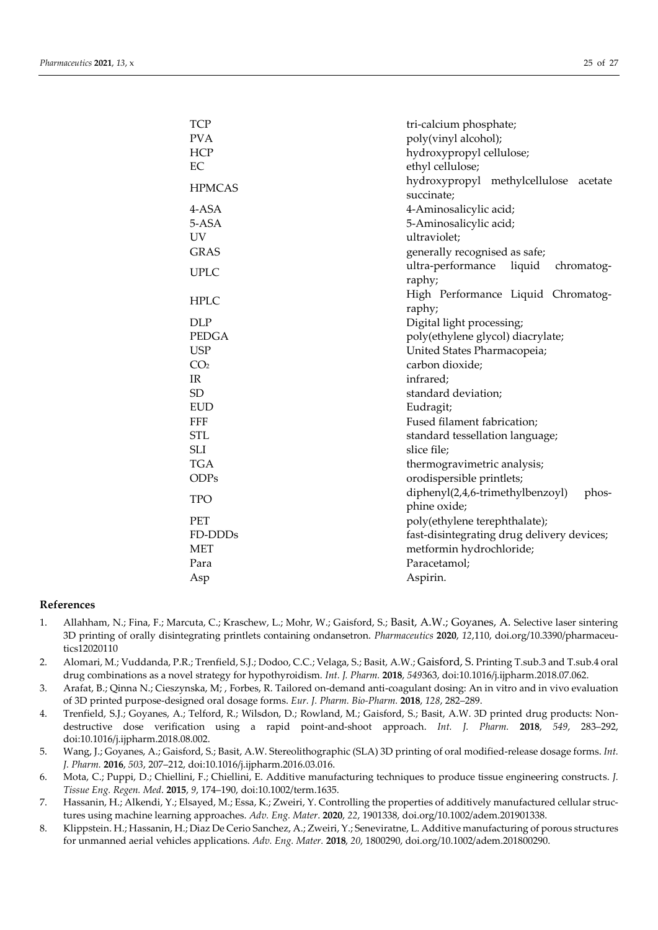| <b>TCP</b><br><b>PVA</b><br><b>HCP</b><br>EC | tri-calcium phosphate;<br>poly(vinyl alcohol);<br>hydroxypropyl cellulose;<br>ethyl cellulose; |
|----------------------------------------------|------------------------------------------------------------------------------------------------|
| <b>HPMCAS</b>                                | hydroxypropyl methylcellulose<br>acetate<br>succinate;                                         |
| 4-ASA                                        | 4-Aminosalicylic acid;                                                                         |
| 5-ASA                                        | 5-Aminosalicylic acid;                                                                         |
| <b>UV</b>                                    | ultraviolet;                                                                                   |
| <b>GRAS</b>                                  | generally recognised as safe;                                                                  |
| <b>UPLC</b>                                  | ultra-performance<br>liquid<br>chromatog-                                                      |
|                                              | raphy;                                                                                         |
| <b>HPLC</b>                                  | High Performance Liquid Chromatog-                                                             |
|                                              | raphy;                                                                                         |
| <b>DLP</b>                                   | Digital light processing;                                                                      |
| <b>PEDGA</b>                                 | poly(ethylene glycol) diacrylate;                                                              |
| <b>USP</b>                                   | United States Pharmacopeia;                                                                    |
| CO <sub>2</sub>                              | carbon dioxide;                                                                                |
| IR                                           | infrared;                                                                                      |
| <b>SD</b>                                    | standard deviation;                                                                            |
| <b>EUD</b><br>FFF                            | Eudragit;<br>Fused filament fabrication;                                                       |
| <b>STL</b>                                   |                                                                                                |
| <b>SLI</b>                                   | standard tessellation language;<br>slice file;                                                 |
| <b>TGA</b>                                   | thermogravimetric analysis;                                                                    |
| <b>ODPs</b>                                  | orodispersible printlets;                                                                      |
|                                              | diphenyl(2,4,6-trimethylbenzoyl)<br>phos-                                                      |
| <b>TPO</b>                                   | phine oxide;                                                                                   |
| <b>PET</b>                                   | poly(ethylene terephthalate);                                                                  |
| FD-DDDs                                      | fast-disintegrating drug delivery devices;                                                     |
| <b>MET</b>                                   | metformin hydrochloride;                                                                       |
| Para                                         | Paracetamol;                                                                                   |
| Asp                                          | Aspirin.                                                                                       |

# **References**

- 1. Allahham, N.; Fina, F.; Marcuta, C.; Kraschew, L.; Mohr, W.; Gaisford, S.; Basit, A.W.; Goyanes, A. Selective laser sintering 3D printing of orally disintegrating printlets containing ondansetron. *Pharmaceutics* **2020**, *12*,110[, doi.org/10.3390/pharmaceu](https://doi.org/10.3390/pharmaceutics12020110)[tics12020110](https://doi.org/10.3390/pharmaceutics12020110)
- 2. Alomari, M.; Vuddanda, P.R.; Trenfield, S.J.; Dodoo, C.C.; Velaga, S.; Basit, A.W.; Gaisford, S. Printing T.sub.3 and T.sub.4 oral drug combinations as a novel strategy for hypothyroidism. *Int. J. Pharm.* **2018**, *549*363, doi:10.1016/j.ijpharm.2018.07.062.
- 3. Arafat, B.; Qinna N.; Cieszynska, M; , Forbes, R. Tailored on-demand anti-coagulant dosing: An in vitro and in vivo evaluation of 3D printed purpose-designed oral dosage forms. *Eur. J. Pharm. Bio-Pharm.* **2018**, *128*, 282–289.
- 4. Trenfield, S.J.; Goyanes, A.; Telford, R.; Wilsdon, D.; Rowland, M.; Gaisford, S.; Basit, A.W. 3D printed drug products: Nondestructive dose verification using a rapid point-and-shoot approach. *Int. J. Pharm.* **2018**, *549*, 283–292, doi:10.1016/j.ijpharm.2018.08.002.
- 5. Wang, J.; Goyanes, A.; Gaisford, S.; Basit, A.W. Stereolithographic (SLA) 3D printing of oral modified-release dosage forms. *Int. J. Pharm.* **2016**, *503*, 207–212, doi:10.1016/j.ijpharm.2016.03.016.
- 6. Mota, C.; Puppi, D.; Chiellini, F.; Chiellini, E. Additive manufacturing techniques to produce tissue engineering constructs. *J. Tissue Eng. Regen. Med*. **2015**, *9*, 174–190, doi:10.1002/term.1635.
- 7. Hassanin, H.; Alkendi, Y.; Elsayed, M.; Essa, K.; Zweiri, Y. Controlling the properties of additively manufactured cellular structures using machine learning approaches. *Adv. Eng. Mater*. **2020**, *22*, 1901338, doi.org/10.1002/adem.201901338.
- 8. Klippstein. H.; Hassanin, H.; Diaz De Cerio Sanchez, A.; Zweiri, Y.; Seneviratne, L. Additive manufacturing of porous structures for unmanned aerial vehicles applications. *Adv. Eng. Mater.* **2018**, *20*, 1800290, doi.org/10.1002/adem.201800290.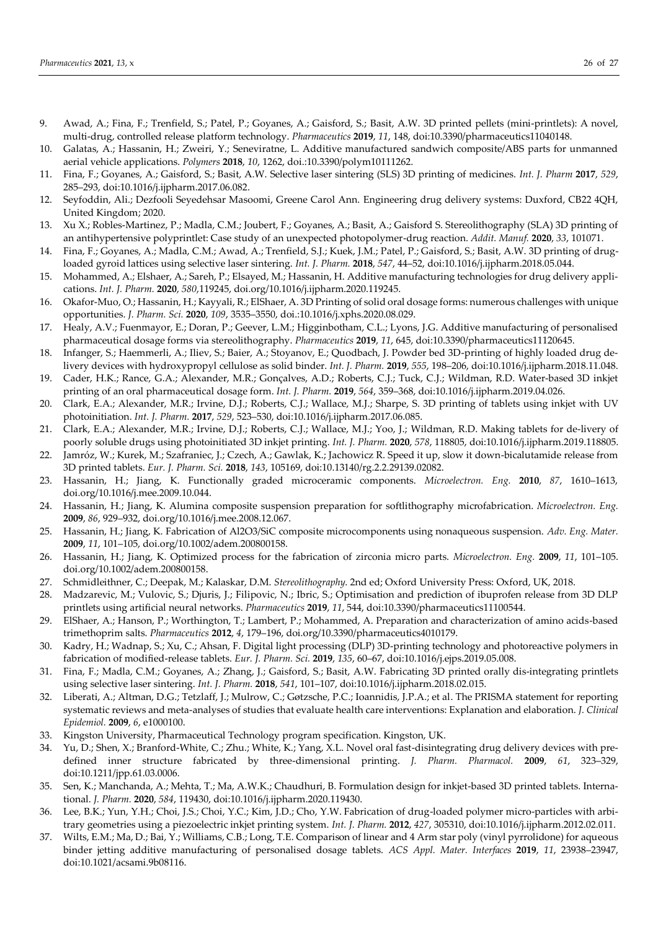- 9. Awad, A.; Fina, F.; Trenfield, S.; Patel, P.; Goyanes, A.; Gaisford, S.; Basit, A.W. 3D printed pellets (mini-printlets): A novel, multi-drug, controlled release platform technology. *Pharmaceutics* **2019**, *11*, 148, doi:10.3390/pharmaceutics11040148.
- 10. Galatas, A.; Hassanin, H.; Zweiri, Y.; Seneviratne, L. Additive manufactured sandwich composite/ABS parts for unmanned aerial vehicle applications. *Polymers* **2018**, *10*, 1262, doi.:10.3390/polym10111262.
- 11. Fina, F.; Goyanes, A.; Gaisford, S.; Basit, A.W. Selective laser sintering (SLS) 3D printing of medicines. *Int. J. Pharm* **2017**, *529*, 285–293, doi:10.1016/j.ijpharm.2017.06.082.
- 12. Seyfoddin, Ali.; Dezfooli Seyedehsar Masoomi, Greene Carol Ann. Engineering drug delivery systems: Duxford, CB22 4QH, United Kingdom; 2020.
- 13. Xu X.; Robles-Martinez, P.; Madla, C.M.; Joubert, F.; Goyanes, A.; Basit, A.; Gaisford S. Stereolithography (SLA) 3D printing of an antihypertensive polyprintlet: Case study of an unexpected photopolymer-drug reaction. *Addit. Manuf.* **2020**, *33*, 101071.
- 14. Fina, F.; Goyanes, A.; Madla, C.M.; Awad, A.; Trenfield, S.J.; Kuek, J.M.; Patel, P.; Gaisford, S.; Basit, A.W. 3D printing of drugloaded gyroid lattices using selective laser sintering. *Int. J. Pharm.* **2018**, *547*, 44–52, doi:10.1016/j.ijpharm.2018.05.044.
- 15. Mohammed, A.; Elshaer, A.; Sareh, P.; Elsayed, M.; Hassanin, H. Additive manufacturing technologies for drug delivery applications. *Int. J. Pharm.* **2020**, *580*,119245, doi.org/10.1016/j.ijpharm.2020.119245.
- 16. Okafor-Muo, O.; Hassanin, H.; Kayyali, R.; ElShaer, A. 3D Printing of solid oral dosage forms: numerous challenges with unique opportunities. *J. Pharm. Sci.* **2020**, *109*, 3535–3550, doi.:10.1016/j.xphs.2020.08.029.
- 17. Healy, A.V.; Fuenmayor, E.; Doran, P.; Geever, L.M.; Higginbotham, C.L.; Lyons, J.G. Additive manufacturing of personalised pharmaceutical dosage forms via stereolithography. *Pharmaceutics* **2019**, *11*, 645, doi:10.3390/pharmaceutics11120645.
- 18. Infanger, S.; Haemmerli, A.; Iliev, S.; Baier, A.; Stoyanov, E.; Quodbach, J. Powder bed 3D-printing of highly loaded drug delivery devices with hydroxypropyl cellulose as solid binder. *Int. J. Pharm.* **2019**, *555*, 198–206, doi:10.1016/j.ijpharm.2018.11.048.
- 19. Cader, H.K.; Rance, G.A.; Alexander, M.R.; Gonçalves, A.D.; Roberts, C.J.; Tuck, C.J.; Wildman, R.D. Water-based 3D inkjet printing of an oral pharmaceutical dosage form. *Int. J. Pharm.* **2019**, *564*, 359–368, doi:10.1016/j.ijpharm.2019.04.026.
- 20. Clark, E.A.; Alexander, M.R.; Irvine, D.J.; Roberts, C.J.; Wallace, M.J.; Sharpe, S. 3D printing of tablets using inkjet with UV photoinitiation. *Int. J. Pharm.* **2017**, *529*, 523–530, doi:10.1016/j.ijpharm.2017.06.085.
- 21. Clark, E.A.; Alexander, M.R.; Irvine, D.J.; Roberts, C.J.; Wallace, M.J.; Yoo, J.; Wildman, R.D. Making tablets for de-livery of poorly soluble drugs using photoinitiated 3D inkjet printing. *Int. J. Pharm.* **2020**, *578*, 118805, doi:10.1016/j.ijpharm.2019.118805.
- 22. Jamróz, W.; Kurek, M.; Szafraniec, J.; Czech, A.; Gawlak, K.; Jachowicz R. Speed it up, slow it down-bicalutamide release from 3D printed tablets. *Eur. J. Pharm. Sci.* **2018**, *143*, 105169, doi:10.13140/rg.2.2.29139.02082.
- 23. Hassanin, H.; Jiang, K. Functionally graded microceramic components. *Microelectron. Eng.* **2010**, *87*, 1610–1613, doi.org/10.1016/j.mee.2009.10.044.
- 24. Hassanin, H.; Jiang, K. Alumina composite suspension preparation for softlithography microfabrication. *Microelectron. Eng.*  **2009**, *86*, 929–932, doi.org/10.1016/j.mee.2008.12.067.
- 25. Hassanin, H.; Jiang, K. Fabrication of Al2O3/SiC composite microcomponents using nonaqueous suspension. *Adv. Eng. Mater.* **2009**, *11*, 101–105, doi.org/10.1002/adem.200800158.
- 26. Hassanin, H.; Jiang, K. Optimized process for the fabrication of zirconia micro parts. *Microelectron. Eng.* **2009**, *11*, 101–105. doi.org/10.1002/adem.200800158.
- 27. Schmidleithner, C.; Deepak, M.; Kalaskar, D.M. *Stereolithography*. 2nd ed; Oxford University Press: Oxford, UK, 2018.
- 28. Madzarevic, M.; Vulovic, S.; Djuris, J.; Filipovic, N.; Ibric, S.; Optimisation and prediction of ibuprofen release from 3D DLP printlets using artificial neural networks. *Pharmaceutics* **2019**, *11*, 544, doi:10.3390/pharmaceutics11100544.
- 29. ElShaer, A.; Hanson, P.; Worthington, T.; Lambert, P.; Mohammed, A. Preparation and characterization of amino acids-based trimethoprim salts. *Pharmaceutics* **2012**, *4*, 179–196, doi.org/10.3390/pharmaceutics4010179.
- 30. Kadry, H.; Wadnap, S.; Xu, C.; Ahsan, F. Digital light processing (DLP) 3D-printing technology and photoreactive polymers in fabrication of modified-release tablets. *Eur. J. Pharm. Sci.* **2019**, *135*, 60–67, doi:10.1016/j.ejps.2019.05.008.
- 31. Fina, F.; Madla, C.M.; Goyanes, A.; Zhang, J.; Gaisford, S.; Basit, A.W. Fabricating 3D printed orally dis-integrating printlets using selective laser sintering. *Int. J. Pharm.* **2018**, *541*, 101–107, doi:10.1016/j.ijpharm.2018.02.015.
- 32. Liberati, A.; Altman, D.G.; Tetzlaff, J.; Mulrow, C.; Gøtzsche, P.C.; Ioannidis, J.P.A.; et al. The PRISMA statement for reporting systematic reviews and meta-analyses of studies that evaluate health care interventions: Explanation and elaboration. *J. Clinical Epidemiol.* **2009**, *6*, e1000100.
- 33. Kingston University, Pharmaceutical Technology program specification. Kingston, UK.
- 34. Yu, D.; Shen, X.; Branford-White, C.; Zhu.; White, K.; Yang, X.L. Novel oral fast-disintegrating drug delivery devices with predefined inner structure fabricated by three-dimensional printing. *J. Pharm. Pharmacol.* **2009**, *61*, 323–329, doi:10.1211/jpp.61.03.0006.
- 35. Sen, K.; Manchanda, A.; Mehta, T.; Ma, A.W.K.; Chaudhuri, B. Formulation design for inkjet-based 3D printed tablets. International. *J. Pharm.* **2020**, *584*, 119430, doi:10.1016/j.ijpharm.2020.119430.
- 36. Lee, B.K.; Yun, Y.H.; Choi, J.S.; Choi, Y.C.; Kim, J.D.; Cho, Y.W. Fabrication of drug-loaded polymer micro-particles with arbitrary geometries using a piezoelectric inkjet printing system. *Int. J. Pharm.* **2012**, *427*, 305310, doi:10.1016/j.ijpharm.2012.02.011.
- 37. Wilts, E.M.; Ma, D.; Bai, Y.; Williams, C.B.; Long, T.E. Comparison of linear and 4 Arm star poly (vinyl pyrrolidone) for aqueous binder jetting additive manufacturing of personalised dosage tablets. *ACS Appl. Mater. Interfaces* **2019**, *11*, 23938–23947, doi:10.1021/acsami.9b08116.